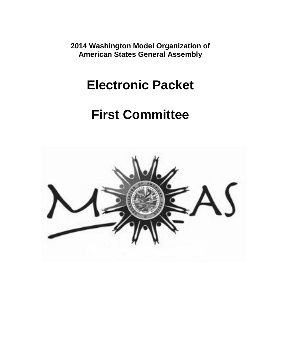**2014 Washington Model Organization of American States General Assembly**

# **Electronic Packet**

# **First Committee**

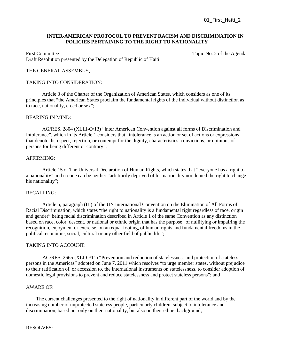## **INTER-AMERICAN PROTOCOL TO PREVENT RACISM AND DISCRIMINATION IN POLICIES PERTAINING TO THE RIGHT TO NATIONALITY**

First Committee Topic No. 2 of the Agenda Draft Resolution presented by the Delegation of Republic of Haiti

### THE GENERAL ASSEMBLY,

#### TAKING INTO CONSIDERATION:

Article 3 of the Charter of the Organization of American States, which considers as one of its principles that "the American States proclaim the fundamental rights of the individual without distinction as to race, nationality, creed or sex";

## BEARING IN MIND:

AG/RES. 2804 (XLIII-O/13) "Inter American Convention against all forms of Discrimination and Intolerance", which in its Article 1 considers that "intolerance is an action or set of actions or expressions that denote disrespect, rejection, or contempt for the dignity, characteristics, convictions, or opinions of persons for being different or contrary";

#### AFFIRMING:

Article 15 of The Universal Declaration of Human Rights, which states that "everyone has a right to a nationality" and no one can be neither "arbitrarily deprived of his nationality nor denied the right to change his nationality";

## RECALLING:

Article 5, paragraph (III) of the UN International Convention on the Elimination of All Forms of Racial Discrimination, which states "the right to nationality is a fundamental right regardless of race, origin and gender" being racial discrimination described in Article 1 of the same Convention as any distinction based on race, color, descent, or national or ethnic origin that has the purpose "of nullifying or impairing the recognition, enjoyment or exercise, on an equal footing, of human rights and fundamental freedoms in the political, economic, social, cultural or any other field of public life";

#### TAKING INTO ACCOUNT:

 AG/RES. 2665 (XLI-O/11) "Prevention and reduction of statelessness and protection of stateless persons in the Americas" adopted on June 7, 2011 which resolves "to urge member states, without prejudice to their ratification of, or accession to, the international instruments on statelessness, to consider adoption of domestic legal provisions to prevent and reduce statelessness and protect stateless persons"; and

#### AWARE OF:

 The current challenges presented to the right of nationality in different part of the world and by the increasing number of unprotected stateless people, particularly children, subject to intolerance and discrimination, based not only on their nationality, but also on their ethnic background,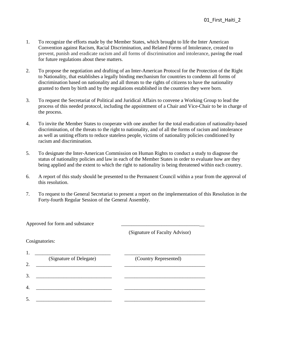- 1. To recognize the efforts made by the Member States, which brought to life the Inter American Convention against Racism, Racial Discrimination, and Related Forms of Intolerance, created to prevent, punish and eradicate racism and all forms of discrimination and intolerance, paving the road for future regulations about these matters.
- 2. To propose the negotiation and drafting of an Inter-American Protocol for the Protection of the Right to Nationality, that establishes a legally binding mechanism for countries to condemn all forms of discrimination based on nationality and all threats to the rights of citizens to have the nationality granted to them by birth and by the regulations established in the countries they were born.
- 3. To request the Secretariat of Political and Juridical Affairs to convene a Working Group to lead the process of this needed protocol, including the appointment of a Chair and Vice-Chair to be in charge of the process.
- 4. To invite the Member States to cooperate with one another for the total eradication of nationality-based discrimination, of the threats to the right to nationality, and of all the forms of racism and intolerance as well as uniting efforts to reduce stateless people, victims of nationality policies conditioned by racism and discrimination.
- 5. To designate the Inter-American Commission on Human Rights to conduct a study to diagnose the status of nationality policies and law in each of the Member States in order to evaluate how are they being applied and the extent to which the right to nationality is being threatened within each country.
- 6. A report of this study should be presented to the Permanent Council within a year from the approval of this resolution.
- 7. To request to the General Secretariat to present a report on the implementation of this Resolution in the Forty-fourth Regular Session of the General Assembly.

| Approved for form and substance |                         |                                |
|---------------------------------|-------------------------|--------------------------------|
|                                 |                         | (Signature of Faculty Advisor) |
| Cosignatories:                  |                         |                                |
| 1.                              |                         |                                |
|                                 | (Signature of Delegate) | (Country Represented)          |
| 2.                              |                         |                                |
| 3.                              |                         |                                |
| $\overline{4}$                  |                         |                                |
| .5.                             |                         |                                |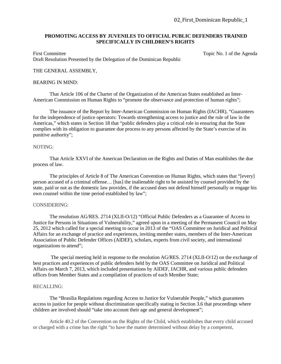## **PROMOTING ACCESS BY JUVENILES TO OFFICIAL PUBLIC DEFENDERS TRAINED SPECIFICALLY IN CHILDREN'S RIGHTS**

First Committee Topic No. 1 of the Agenda Draft Resolution Presented by the Delegation of the Dominican Republic

## THE GENERAL ASSEMBLY,

#### BEARING IN MIND:

That Article 106 of the Charter of the Organization of the American States established an Inter-American Commission on Human Rights to "promote the observance and protection of human rights";

The issuance of the Report by Inter-American Commission on Human Rights (IACHR), "Guarantees for the independence of justice operators: Towards strengthening access to justice and the rule of law in the Americas," which states in Section 18 that "public defenders play a critical role in ensuring that the State complies with its obligation to guarantee due process to any persons affected by the State's exercise of its punitive authority";

## NOTING:

That Article XXVI of the American Declaration on the Rights and Duties of Man establishes the due process of law.

The principles of Article 8 of The American Convention on Human Rights, which states that "[every] person accused of a criminal offense… [has] the inalienable right to be assisted by counsel provided by the state, paid or not as the domestic law provides, if the accused does not defend himself personally or engage his own counsel within the time period established by law";

#### CONSIDERING:

The resolution AG/RES. 2714 (XLII-O/12) "Official Public Defenders as a Guarantee of Access to Justice for Persons in Situations of Vulnerability," agreed upon in a meeting of the Permanent Council on May 25, 2012 which called for a special meeting to occur in 2013 of the "OAS Committee on Juridical and Political Affairs for an exchange of practice and experiences, inviting member states, members of the Inter-American Association of Public Defender Offices (AIDEF), scholars, experts from civil society, and international organizations to attend";

The special meeting held in response to the resolution AG/RES. 2714 (XLII-O/12) on the exchange of best practices and experiences of public defenders held by the OAS Committee on Juridical and Political Affairs on March 7, 2013, which included presentations by AIDEF, IACHR, and various public defenders offices from Member States and a compilation of practices of each Member State;

### RECALLING:

The "Brasilia Regulations regarding Access to Justice for Vulnerable People," which guarantees access to justice for people without discrimination specifically stating in Section 3.6 that proceedings where children are involved should "take into account their age and general development";

Article 40.2 of the Convention on the Rights of the Child, which establishes that every child accused or charged with a crime has the right "to have the matter determined without delay by a competent,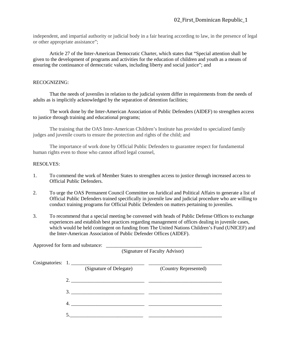independent, and impartial authority or judicial body in a fair hearing according to law, in the presence of legal or other appropriate assistance";

Article 27 of the Inter-American Democratic Charter, which states that "Special attention shall be given to the development of programs and activities for the education of children and youth as a means of ensuring the continuance of democratic values, including liberty and social justice"; and

# RECOGNIZING:

 That the needs of juveniles in relation to the judicial system differ in requirements from the needs of adults as is implicitly acknowledged by the separation of detention facilities;

The work done by the Inter-American Association of Public Defenders (AIDEF) to strengthen access to justice through training and educational programs;

The training that the OAS Inter-American Children's Institute has provided to specialized family judges and juvenile courts to ensure the protection and rights of the child; and

The importance of work done by Official Public Defenders to guarantee respect for fundamental human rights even to those who cannot afford legal counsel,

# RESOLVES:

Approved for form and substance: \_\_\_\_\_\_\_\_\_\_\_\_\_\_\_\_\_\_\_\_\_\_\_\_\_\_\_\_\_\_\_\_\_\_\_\_\_\_

- 1. To commend the work of Member States to strengthen access to justice through increased access to Official Public Defenders.
- 2. To urge the OAS Permanent Council Committee on Juridical and Political Affairs to generate a list of Official Public Defenders trained specifically in juvenile law and judicial procedure who are willing to conduct training programs for Official Public Defenders on matters pertaining to juveniles.
- 3. To recommend that a special meeting be convened with heads of Public Defense Offices to exchange experiences and establish best practices regarding management of offices dealing in juvenile cases, which would be held contingent on funding from The United Nations Children's Fund (UNICEF) and the Inter-American Association of Public Defender Offices (AIDEF).

(Signature of Faculty Advisor)

|                   |  | $\sim$ - $\sigma$ - $\sim$ - $\sim$ - $\sim$ $\sim$ - $\sim$ - $\sim$ - $\sim$ - $\sim$ - $\sim$ - $\sim$ - $\sim$                                                                                                                                                                                                                                                    |                       |  |
|-------------------|--|-----------------------------------------------------------------------------------------------------------------------------------------------------------------------------------------------------------------------------------------------------------------------------------------------------------------------------------------------------------------------|-----------------------|--|
| Cosignatories: 1. |  | (Signature of Delegate)                                                                                                                                                                                                                                                                                                                                               | (Country Represented) |  |
|                   |  | 2. $\overline{\phantom{a} \phantom{a} \phantom{a}}$ $\phantom{a}$ $\phantom{a}$ $\phantom{a}$ $\phantom{a}$ $\phantom{a}$ $\phantom{a}$ $\phantom{a}$ $\phantom{a}$ $\phantom{a}$ $\phantom{a}$ $\phantom{a}$ $\phantom{a}$ $\phantom{a}$ $\phantom{a}$ $\phantom{a}$ $\phantom{a}$ $\phantom{a}$ $\phantom{a}$ $\phantom{a}$ $\phantom{a}$ $\phantom{a}$ $\phantom{$ |                       |  |
|                   |  | 3.                                                                                                                                                                                                                                                                                                                                                                    |                       |  |
|                   |  | 4.                                                                                                                                                                                                                                                                                                                                                                    |                       |  |
|                   |  |                                                                                                                                                                                                                                                                                                                                                                       |                       |  |
|                   |  |                                                                                                                                                                                                                                                                                                                                                                       |                       |  |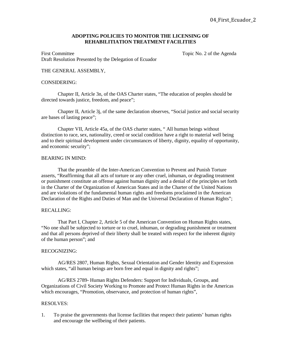## **ADOPTING POLICIES TO MONITOR THE LICENSING OF REHABILITIATION TREATMENT FACILITIES**

First Committee Topic No. 2 of the Agenda Draft Resolution Presented by the Delegation of Ecuador

## THE GENERAL ASSEMBLY,

#### CONSIDERING:

Chapter II, Article 3n, of the OAS Charter states, "The education of peoples should be directed towards justice, freedom, and peace";

Chapter II, Article 3j, of the same declaration observes, "Social justice and social security are bases of lasting peace";

Chapter VII, Article 45a, of the OAS charter states, " All human beings without distinction to race, sex, nationality, creed or social condition have a right to material well being and to their spiritual development under circumstances of liberty, dignity, equality of opportunity, and economic security";

#### BEARING IN MIND:

That the preamble of the Inter-American Convention to Prevent and Punish Torture asserts, "Reaffirming that all acts of torture or any other cruel, inhuman, or degrading treatment or punishment constitute an offense against human dignity and a denial of the principles set forth in the Charter of the Organization of American States and in the Charter of the United Nations and are violations of the fundamental human rights and freedoms proclaimed in the American Declaration of the Rights and Duties of Man and the Universal Declaration of Human Rights";

#### RECALLING:

That Part I, Chapter 2, Article 5 of the American Convention on Human Rights states, "No one shall be subjected to torture or to cruel, inhuman, or degrading punishment or treatment and that all persons deprived of their liberty shall be treated with respect for the inherent dignity of the human person"; and

#### RECOGNIZING:

AG/RES 2807, Human Rights, Sexual Orientation and Gender Identity and Expression which states, "all human beings are born free and equal in dignity and rights";

AG/RES 2789- Human Rights Defenders: Support for Individuals, Groups, and Organizations of Civil Society Working to Promote and Protect Human Rights in the Americas which encourages, "Promotion, observance, and protection of human rights",

#### RESOLVES:

1. To praise the governments that license facilities that respect their patients' human rights and encourage the wellbeing of their patients.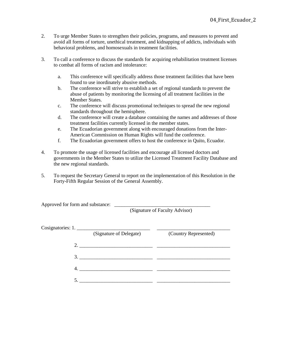- 2. To urge Member States to strengthen their policies, programs, and measures to prevent and avoid all forms of torture, unethical treatment, and kidnapping of addicts, individuals with behavioral problems, and homosexuals in treatment facilities.
- 3. To call a conference to discuss the standards for acquiring rehabilitation treatment licenses to combat all forms of racism and intolerance:
	- a. This conference will specifically address those treatment facilities that have been found to use inordinately abusive methods.
	- b. The conference will strive to establish a set of regional standards to prevent the abuse of patients by monitoring the licensing of all treatment facilities in the Member States.
	- c. The conference will discuss promotional techniques to spread the new regional standards throughout the hemisphere.
	- d. The conference will create a database containing the names and addresses of those treatment facilities currently licensed in the member states.
	- e. The Ecuadorian government along with encouraged donations from the Inter-American Commission on Human Rights will fund the conference.
	- f. The Ecuadorian government offers to host the conference in Quito, Ecuador.
- 4. To promote the usage of licensed facilities and encourage all licensed doctors and governments in the Member States to utilize the Licensed Treatment Facility Database and the new regional standards.
- 5. To request the Secretary General to report on the implementation of this Resolution in the Forty-Fifth Regular Session of the General Assembly.

Approved for form and substance:

(Signature of Faculty Advisor)

|    | Cosignatories: 1.       |                       |
|----|-------------------------|-----------------------|
|    | (Signature of Delegate) | (Country Represented) |
| 2. |                         |                       |
|    | 3.                      |                       |
|    |                         |                       |
|    |                         |                       |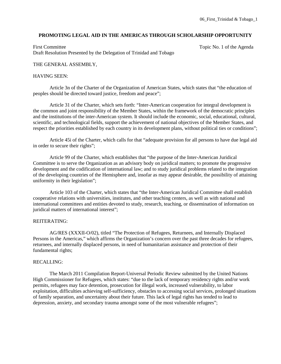# **PROMOTING LEGAL AID IN THE AMERICAS THROUGH SCHOLARSHIP OPPORTUNITY**

First Committee Topic No. 1 of the Agenda Draft Resolution Presented by the Delegation of Trinidad and Tobago

# THE GENERAL ASSEMBLY,

# HAVING SEEN:

 Article 3n of the Charter of the Organization of American States, which states that "the education of peoples should be directed toward justice, freedom and peace";

Article 31 of the Charter, which sets forth: "Inter-American cooperation for integral development is the common and joint responsibility of the Member States, within the framework of the democratic principles and the institutions of the inter-American system. It should include the economic, social, educational, cultural, scientific, and technological fields, support the achievement of national objectives of the Member States, and respect the priorities established by each country in its development plans, without political ties or conditions";

 Article 45i of the Charter, which calls for that "adequate provision for all persons to have due legal aid in order to secure their rights";

 Article 99 of the Charter, which establishes that "the purpose of the Inter-American Juridical Committee is to serve the Organization as an advisory body on juridical matters; to promote the progressive development and the codification of international law; and to study juridical problems related to the integration of the developing countries of the Hemisphere and, insofar as may appear desirable, the possibility of attaining uniformity in their legislation";

 Article 103 of the Charter, which states that "the Inter-American Juridical Committee shall establish cooperative relations with universities, institutes, and other teaching centers, as well as with national and international committees and entities devoted to study, research, teaching, or dissemination of information on juridical matters of international interest";

# REITERATING:

AG/RES (XXXII-O/02), titled "The Protection of Refugees, Returnees, and Internally Displaced Persons in the Americas," which affirms the Organization's concern over the past three decades for refugees, returnees, and internally displaced persons, in need of humanitarian assistance and protection of their fundamental rights;

### RECALLING:

The March 2011 Compilation Report-Universal Periodic Review submitted by the United Nations High Commissioner for Refugees, which states: "due to the lack of temporary residency rights and/or work permits, refugees may face detention, prosecution for illegal work, increased vulnerability, to labor exploitation, difficulties achieving self-sufficiency, obstacles to accessing social services, prolonged situations of family separation, and uncertainty about their future. This lack of legal rights has tended to lead to depression, anxiety, and secondary trauma amongst some of the most vulnerable refugees";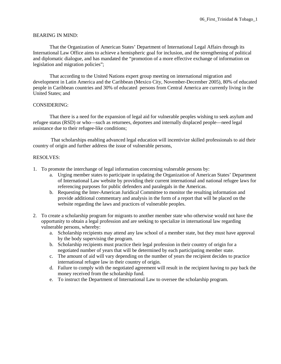## BEARING IN MIND:

That the Organization of American States' Department of International Legal Affairs through its International Law Office aims to achieve a hemispheric goal for inclusion, and the strengthening of political and diplomatic dialogue, and has mandated the "promotion of a more effective exchange of information on legislation and migration policies";

That according to the United Nations expert group meeting on international migration and development in Latin America and the Caribbean (Mexico City, November-December 2005), 80% of educated people in Caribbean countries and 30% of educated persons from Central America are currently living in the United States; and

## CONSIDERING:

 That there is a need for the expansion of legal aid for vulnerable peoples wishing to seek asylum and refugee status (RSD) or who—such as returnees, deportees and internally displaced people—need legal assistance due to their refugee-like conditions;

That scholarships enabling advanced legal education will incentivize skilled professionals to aid their country of origin and further address the issue of vulnerable persons,

- 1. To promote the interchange of legal information concerning vulnerable persons by:
	- a. Urging member states to participate in updating the Organization of American States' Department of International Law website by providing their current international and national refugee laws for referencing purposes for public defenders and paralegals in the Americas.
	- b. Requesting the Inter-American Juridical Committee to monitor the resulting information and provide additional commentary and analysis in the form of a report that will be placed on the website regarding the laws and practices of vulnerable peoples.
- 2. To create a scholarship program for migrants to another member state who otherwise would not have the opportunity to obtain a legal profession and are seeking to specialize in international law regarding vulnerable persons, whereby:
	- a. Scholarship recipients may attend any law school of a member state, but they must have approval by the body supervising the program.
	- b. Scholarship recipients must practice their legal profession in their country of origin for a negotiated number of years that will be determined by each participating member state.
	- c. The amount of aid will vary depending on the number of years the recipient decides to practice international refugee law in their country of origin.
	- d. Failure to comply with the negotiated agreement will result in the recipient having to pay back the money received from the scholarship fund.
	- e. To instruct the Department of International Law to oversee the scholarship program.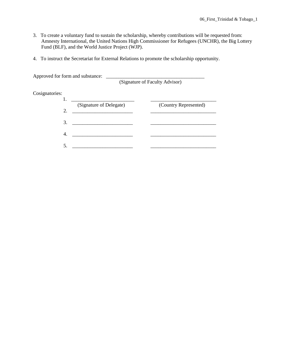- 3. To create a voluntary fund to sustain the scholarship, whereby contributions will be requested from: Amnesty International, the United Nations High Commissioner for Refugees (UNCHR), the Big Lottery Fund (BLF), and the World Justice Project (WJP).
- 4. To instruct the Secretariat for External Relations to promote the scholarship opportunity.

| Approved for form and substance: |                         | (Signature of Faculty Advisor) |
|----------------------------------|-------------------------|--------------------------------|
| Cosignatories:                   |                         |                                |
| 2.                               | (Signature of Delegate) | (Country Represented)          |
| 3.                               |                         |                                |
| $\overline{4}$                   |                         |                                |
| 5                                |                         |                                |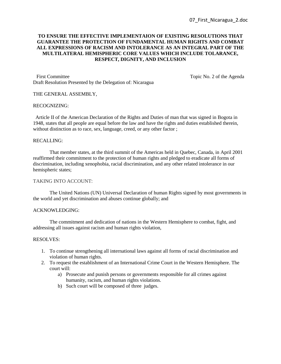# **TO ENSURE THE EFFECTIVE IMPLEMENTAION OF EXISTING RESOLUTIONS THAT GUARANTEE THE PROTECTION OF FUNDAMENTAL HUMAN RIGHTS AND COMBAT ALL EXPRESSIONS OF RACISM AND INTOLERANCE AS AN INTEGRAL PART OF THE MULTILATERAL HEMISPHERIC CORE VALUES WHICH INCLUDE TOLARANCE, RESPECT, DIGNITY, AND INCLUSION**

First Committee Topic No. 2 of the Agenda Draft Resolution Presented by the Delegation of: Nicaragua

## THE GENERAL ASSEMBLY,

### RECOGNIZING:

 Article II of the American Declaration of the Rights and Duties of man that was signed in Bogota in 1948, states that all people are equal before the law and have the rights and duties established therein, without distinction as to race, sex, language, creed, or any other factor;

## RECALLING:

That member states, at the third summit of the Americas held in Quebec, Canada, in April 2001 reaffirmed their commitment to the protection of human rights and pledged to eradicate all forms of discrimination, including xenophobia, racial discrimination, and any other related intolerance in our hemispheric states;

## TAKING INTO ACCOUNT:

The United Nations (UN) Universal Declaration of human Rights signed by most governments in the world and yet discrimination and abuses continue globally; and

## ACKNOWLEDGING:

The commitment and dedication of nations in the Western Hemisphere to combat, fight, and addressing all issues against racism and human rights violation,

- 1. To continue strengthening all international laws against all forms of racial discrimination and violation of human rights.
- 2. To request the establishment of an International Crime Court in the Western Hemisphere. The court will:
	- a) Prosecute and punish persons or governments responsible for all crimes against humanity, racism, and human rights violations.
	- b) Such court will be composed of three judges.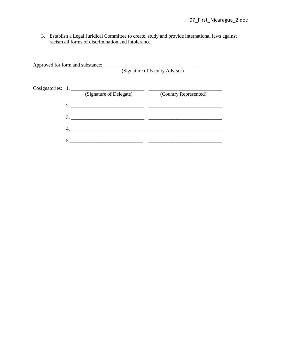3. Establish a Legal Juridical Committee to create, study and provide international laws against racism all forms of discrimination and intolerance.

| Approved for form and substance: |                         | (Signature of Faculty Advisor) |
|----------------------------------|-------------------------|--------------------------------|
|                                  | (Signature of Delegate) | (Country Represented)          |
| 2. $\overline{\phantom{a}}$      |                         |                                |
| 3.                               |                         |                                |
|                                  |                         |                                |
|                                  |                         |                                |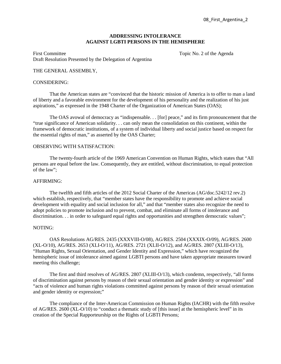## **ADDRESSING INTOLERANCE AGAINST LGBTI PERSONS IN THE HEMISPHERE**

First Committee Topic No. 2 of the Agenda Draft Resolution Presented by the Delegation of Argentina

## THE GENERAL ASSEMBLY,

#### CONSIDERING:

That the American states are "convinced that the historic mission of America is to offer to man a land of liberty and a favorable environment for the development of his personality and the realization of his just aspirations," as expressed in the 1948 Charter of the Organization of American States (OAS);

The OAS avowal of democracy as "indispensable. . . [for] peace," and its firm pronouncement that the "true significance of American solidarity. . . can only mean the consolidation on this continent, within the framework of democratic institutions, of a system of individual liberty and social justice based on respect for the essential rights of man," as asserted by the OAS Charter;

## OBSERVING WITH SATISFACTION:

The twenty-fourth article of the 1969 American Convention on Human Rights, which states that "All persons are equal before the law. Consequently, they are entitled, without discrimination, to equal protection of the law";

#### AFFIRMING:

The twelfth and fifth articles of the 2012 Social Charter of the Americas (AG/doc.5242/12 rev.2) which establish, respectively, that "member states have the responsibility to promote and achieve social development with equality and social inclusion for all," and that "member states also recognize the need to adopt policies to promote inclusion and to prevent, combat, and eliminate all forms of intolerance and discrimination. . . in order to safeguard equal rights and opportunities and strengthen democratic values";

## NOTING:

OAS Resolutions AG/RES. 2435 (XXXVIII-O/08), AG/RES. 2504 (XXXIX-O/09), AG/RES. 2600 (XL-O/10), AG/RES. 2653 (XLI-O/11), AG/RES. 2721 (XLII-O/12), and AG/RES. 2807 (XLIII-O/13), "Human Rights, Sexual Orientation, and Gender Identity and Expression," which have recognized the hemispheric issue of intolerance aimed against LGBTI persons and have taken appropriate measures toward meeting this challenge;

The first and third resolves of AG/RES. 2807 (XLIII-O/13), which condemn, respectively, "all forms of discrimination against persons by reason of their sexual orientation and gender identity or expression" and "acts of violence and human rights violations committed against persons by reason of their sexual orientation and gender identity or expression;"

The compliance of the Inter-American Commission on Human Rights (IACHR) with the fifth resolve of AG/RES. 2600 (XL-O/10) to "conduct a thematic study of [this issue] at the hemispheric level" in its creation of the Special Rapporteurship on the Rights of LGBTI Persons;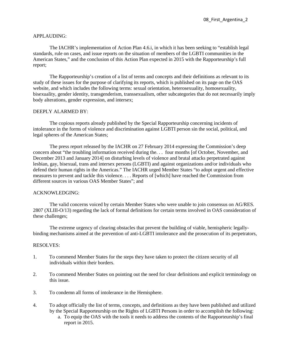## APPLAUDING:

The IACHR's implementation of Action Plan 4.6.i, in which it has been seeking to "establish legal standards, rule on cases, and issue reports on the situation of members of the LGBTI communities in the American States," and the conclusion of this Action Plan expected in 2015 with the Rapporteurship's full report;

The Rapporteurship's creation of a list of terms and concepts and their definitions as relevant to its study of these issues for the purpose of clarifying its reports, which is published on its page on the OAS website, and which includes the following terms: sexual orientation, heterosexuality, homosexuality, bisexuality, gender identity, transgenderism, transsexualism, other subcategories that do not necessarily imply body alterations, gender expression, and intersex;

## DEEPLY ALARMED BY:

The copious reports already published by the Special Rapporteurship concerning incidents of intolerance in the forms of violence and discrimination against LGBTI person sin the social, political, and legal spheres of the American States;

The press report released by the IACHR on 27 February 2014 expressing the Commission's deep concern about "the troubling information received during the. . . four months [of October, November, and December 2013 and January 2014] on disturbing levels of violence and brutal attacks perpetrated against lesbian, gay, bisexual, trans and intersex persons (LGBTI) and against organizations and/or individuals who defend their human rights in the Americas." The IACHR urged Member States "to adopt urgent and effective measures to prevent and tackle this violence. . . . Reports of [which] have reached the Commission from different sources in various OAS Member States"; and

### ACKNOWLEDGING:

The valid concerns voiced by certain Member States who were unable to join consensus on AG/RES. 2807 (XLIII-O/13) regarding the lack of formal definitions for certain terms involved in OAS consideration of these challenges;

The extreme urgency of clearing obstacles that prevent the building of viable, hemispheric legallybinding mechanisms aimed at the prevention of anti-LGBTI intolerance and the prosecution of its perpetrators,

- 1. To commend Member States for the steps they have taken to protect the citizen security of all individuals within their borders.
- 2. To commend Member States on pointing out the need for clear definitions and explicit terminology on this issue.
- 3. To condemn all forms of intolerance in the Hemisphere.
- 4. To adopt officially the list of terms, concepts, and definitions as they have been published and utilized by the Special Rapporteurship on the Rights of LGBTI Persons in order to accomplish the following:
	- a. To equip the OAS with the tools it needs to address the contents of the Rapporteurship's final report in 2015.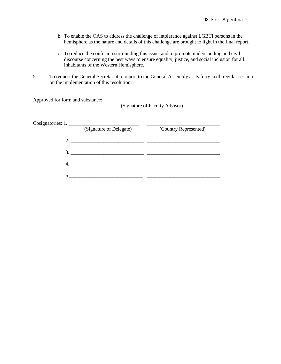- b. To enable the OAS to address the challenge of intolerance against LGBTI persons in the hemisphere as the nature and details of this challenge are brought to light in the final report.
- c. To reduce the confusion surrounding this issue, and to promote understanding and civil discourse concerning the best ways to ensure equality, justice, and social inclusion for all inhabitants of the Western Hemisphere.
- 5. To request the General Secretariat to report to the General Assembly at its forty-sixth regular session on the implementation of this resolution.

| Approved for form and substance:<br>the control of the control of the control of the control of the control of the control of |                         | (Signature of Faculty Advisor) |
|-------------------------------------------------------------------------------------------------------------------------------|-------------------------|--------------------------------|
| Cosignatories: 1.                                                                                                             | (Signature of Delegate) | (Country Represented)          |
|                                                                                                                               |                         |                                |
| 3.                                                                                                                            |                         |                                |
| 4.                                                                                                                            |                         |                                |
|                                                                                                                               |                         |                                |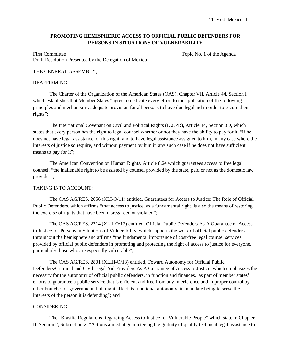# **PROMOTING HEMISPHERIC ACCESS TO OFFICIAL PUBLIC DEFENDERS FOR PERSONS IN SITUATIONS OF VULNERABILITY**

First Committee Topic No. 1 of the Agenda Draft Resolution Presented by the Delegation of Mexico

## THE GENERAL ASSEMBLY,

### REAFFIRMING:

The Charter of the Organization of the American States (OAS), Chapter VII, Article 44, Section I which establishes that Member States "agree to dedicate every effort to the application of the following principles and mechanisms: adequate provision for all persons to have due legal aid in order to secure their rights";

The International Covenant on Civil and Political Rights (ICCPR), Article 14, Section 3D, which states that every person has the right to legal counsel whether or not they have the ability to pay for it, "if he does not have legal assistance, of this right; and to have legal assistance assigned to him, in any case where the interests of justice so require, and without payment by him in any such case if he does not have sufficient means to pay for it";

The American Convention on Human Rights, Article 8.2e which guarantees access to free legal counsel, "the inalienable right to be assisted by counsel provided by the state, paid or not as the domestic law provides";

### TAKING INTO ACCOUNT:

The OAS AG/RES. 2656 (XLI-O/11) entitled, Guarantees for Access to Justice: The Role of Official Public Defenders, which affirms "that access to justice, as a fundamental right, is also the means of restoring the exercise of rights that have been disregarded or violated";

The OAS AG/RES. 2714 (XLII-O/12) entitled, Official Public Defenders As A Guarantee of Access to Justice for Persons in Situations of Vulnerability, which supports the work of official public defenders throughout the hemisphere and affirms "the fundamental importance of cost-free legal counsel services provided by official public defenders in promoting and protecting the right of access to justice for everyone, particularly those who are especially vulnerable";

The OAS AG/RES. 2801 (XLIII-O/13) entitled, Toward Autonomy for Official Public Defenders/Criminal and Civil Legal Aid Providers As A Guarantee of Access to Justice, which emphasizes the necessity for the autonomy of official public defenders, in function and finances, as part of member states' efforts to guarantee a public service that is efficient and free from any interference and improper control by other branches of government that might affect its functional autonomy, its mandate being to serve the interests of the person it is defending"; and

## CONSIDERING:

The "Brasilia Regulations Regarding Access to Justice for Vulnerable People" which state in Chapter II, Section 2, Subsection 2, "Actions aimed at guaranteeing the gratuity of quality technical legal assistance to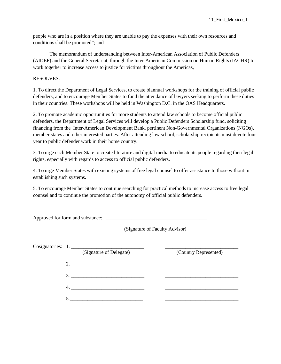people who are in a position where they are unable to pay the expenses with their own resources and conditions shall be promoted"; and

The memorandum of understanding between Inter-American Association of Public Defenders (AIDEF) and the General Secretariat, through the Inter-American Commission on Human Rights (IACHR) to work together to increase access to justice for victims throughout the Americas,

## RESOLVES:

1. To direct the Department of Legal Services, to create biannual workshops for the training of official public defenders, and to encourage Member States to fund the attendance of lawyers seeking to perform these duties in their countries. These workshops will be held in Washington D.C. in the OAS Headquarters.

2. To promote academic opportunities for more students to attend law schools to become official public defenders, the Department of Legal Services will develop a Public Defenders Scholarship fund, soliciting financing from the Inter-American Development Bank, pertinent Non-Governmental Organizations (NGOs), member states and other interested parties. After attending law school, scholarship recipients must devote four year to public defender work in their home country.

3. To urge each Member State to create literature and digital media to educate its people regarding their legal rights, especially with regards to access to official public defenders.

4. To urge Member States with existing systems of free legal counsel to offer assistance to those without in establishing such systems.

5. To encourage Member States to continue searching for practical methods to increase access to free legal counsel and to continue the promotion of the autonomy of official public defenders.

Approved for form and substance: \_\_\_\_\_\_\_\_\_\_\_\_\_\_\_\_\_\_\_\_\_\_\_\_\_\_\_\_\_\_\_\_\_\_\_\_\_\_\_\_ (Signature of Faculty Advisor) Cosignatories: 1. (Signature of Delegate) (Country Represented)  $2.$  $3.$  4. \_\_\_\_\_\_\_\_\_\_\_\_\_\_\_\_\_\_\_\_\_\_\_\_\_\_\_\_\_ \_\_\_\_\_\_\_\_\_\_\_\_\_\_\_\_\_\_\_\_\_\_\_\_\_\_\_\_\_  $5.$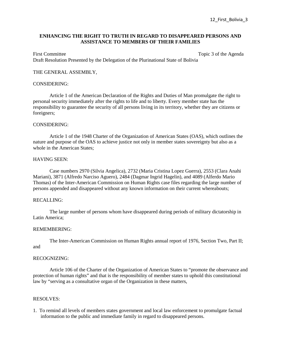## **ENHANCING THE RIGHT TO TRUTH IN REGARD TO DISAPPEARED PERSONS AND ASSISTANCE TO MEMBERS OF THEIR FAMILIES**

First Committee Topic 3 of the Agenda Draft Resolution Presented by the Delegation of the Plurinational State of Bolivia

## THE GENERAL ASSEMBLY,

## CONSIDERING:

Article 1 of the American Declaration of the Rights and Duties of Man promulgate the right to personal security immediately after the rights to life and to liberty. Every member state has the responsibility to guarantee the security of all persons living in its territory, whether they are citizens or foreigners;

### CONSIDERING:

Article 1 of the 1948 Charter of the Organization of American States (OAS), which outlines the nature and purpose of the OAS to achieve justice not only in member states sovereignty but also as a whole in the American States;

## HAVING SEEN:

Case numbers 2970 (Silvia Angelica), 2732 (Maria Cristina Lopez Guerra), 2553 (Clara Anahi Mariani), 3871 (Alfredo Narciso Aguero), 2484 (Dagmar Ingrid Hagelin), and 4089 (Alferdo Mario Thomas) of the Inter-American Commission on Human Rights case files regarding the large number of persons appended and disappeared without any known information on their current whereabouts;

## RECALLING:

The large number of persons whom have disappeared during periods of military dictatorship in Latin America;

#### REMEMBERING:

The Inter-American Commission on Human Rights annual report of 1976, Section Two, Part II;

# and

### RECOGNIZING:

Article 106 of the Charter of the Organization of American States to "promote the observance and protection of human rights" and that is the responsibility of member states to uphold this constitutional law by "serving as a consultative organ of the Organization in these matters,

## RESOLVES:

1. To remind all levels of members states government and local law enforcement to promulgate factual information to the public and immediate family in regard to disappeared persons.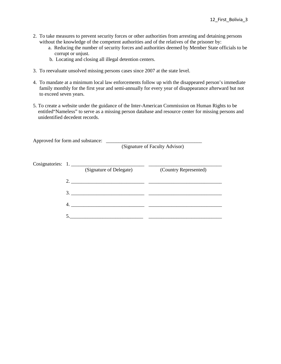- 2. To take measures to prevent security forces or other authorities from arresting and detaining persons without the knowledge of the competent authorities and of the relatives of the prisoner by:
	- a. Reducing the number of security forces and authorities deemed by Member State officials to be corrupt or unjust.
	- b. Locating and closing all illegal detention centers.
- 3. To reevaluate unsolved missing persons cases since 2007 at the state level.
- 4. To mandate at a minimum local law enforcements follow up with the disappeared person's immediate family monthly for the first year and semi-annually for every year of disappearance afterward but not to exceed seven years.
- 5. To create a website under the guidance of the Inter-American Commission on Human Rights to be entitled"Nameless" to serve as a missing person database and resource center for missing persons and unidentified decedent records.

| Approved for form and substance:             | (Signature of Faculty Advisor) |
|----------------------------------------------|--------------------------------|
| Cosignatories: 1.<br>(Signature of Delegate) | (Country Represented)          |
| 2. $\qquad \qquad$                           |                                |
| $3.$ $\overline{\phantom{a}}$                |                                |
| 4.                                           |                                |
|                                              |                                |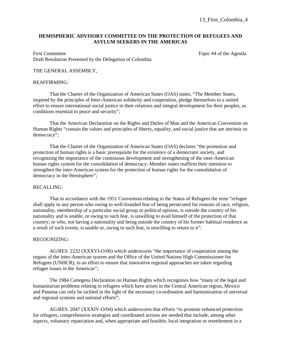## **HEMISPHERIC ADVISORY COMMITTEE ON THE PROTECTION OF REFUGEES AND ASYLUM SEEKERS IN THE AMERICAS**

First Committee Topic #4 of the Agenda Draft Resolution Presented by the Delegation of Colombia

## THE GENERAL ASSEMBLY,

### REAFFIRMING:

That the Charter of the Organization of American States (OAS) states, "The Member States, inspired by the principles of Inter-American solidarity and cooperation, pledge themselves to a united effort to ensure international social justice in their relations and integral development for their peoples, as conditions essential to peace and security";

That the American Declaration on the Rights and Duties of Man and the American Convention on Human Rights "contain the values and principles of liberty, equality, and social justice that are intrinsic to democracy";

That the Charter of the Organization of American States (OAS) declares "the promotion and protection of human rights is a basic prerequisite for the existence of a democratic society, and recognizing the importance of the continuous development and strengthening of the inter-American human rights system for the consolidation of democracy; Member states reaffirm their intention to strengthen the inter-American system for the protection of human rights for the consolidation of democracy in the Hemisphere";

### RECALLING:

That in accordance with the 1951 Convention relating to the Status of Refugees the term "refugee shall apply to any person who owing to well-founded fear of being persecuted for reasons of race, religion, nationality, membership of a particular social group or political opinion, is outside the country of his nationality and is unable, or owing to such fear, is unwilling to avail himself of the protection of that country; or who, not having a nationality and being outside the country of his former habitual residence as a result of such events, is unable or, owing to such fear, is unwilling to return to it";

### RECOGNIZING:

AG/RES. 2232 (XXXVI-O/06) which underscores "the importance of cooperation among the organs of the inter-American system and the Office of the United Nations High Commissioner for Refugees (UNHCR), in an effort to ensure that innovative regional approaches are taken regarding refugee issues in the Americas";

The 1984 Cartegena Declaration on Human Rights which recognizes how "many of the legal and humanitarian problems relating to refugees which have arisen in the Central American region, Mexico and Panama can only be tackled in the light of the necessary co-ordination and harmonization of universal and regional systems and national efforts";

 AG/RES. 2047 (XXXIV-O/04) which underscores that efforts "to promote enhanced protection for refugees, comprehensive strategies and coordinated actions are needed that include, among other aspects, voluntary repatriation and, when appropriate and feasible, local integration or resettlement in a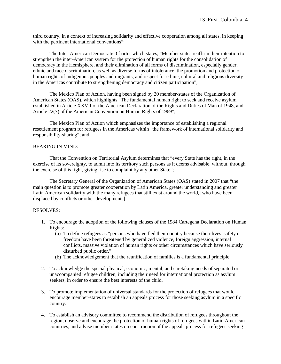third country, in a context of increasing solidarity and effective cooperation among all states, in keeping with the pertinent international conventions";

The Inter-American Democratic Charter which states, "Member states reaffirm their intention to strengthen the inter-American system for the protection of human rights for the consolidation of democracy in the Hemisphere, and their elimination of all forms of discrimination, especially gender, ethnic and race discrimination, as well as diverse forms of intolerance, the promotion and protection of human rights of indigenous peoples and migrants, and respect for ethnic, cultural and religious diversity in the Americas contribute to strengthening democracy and citizen participation";

The Mexico Plan of Action, having been signed by 20 member-states of the Organization of American States (OAS), which highlights "The fundamental human right to seek and receive asylum established in Article XXVII of the American Declaration of the Rights and Duties of Man of 1948, and Article 22(7) of the American Convention on Human Rights of 1969";

 The Mexico Plan of Action which emphasizes the importance of establishing a regional resettlement program for refugees in the Americas within "the framework of international solidarity and responsibility-sharing"; and

# BEARING IN MIND:

That the Convention on Territorial Asylum determines that "every State has the right, in the exercise of its sovereignty, to admit into its territory such persons as it deems advisable, without, through the exercise of this right, giving rise to complaint by any other State";

The Secretary General of the Organization of American States (OAS) stated in 2007 that "the main question is to promote greater cooperation by Latin America, greater understanding and greater Latin American solidarity with the many refugees that still exist around the world, [who have been displaced by conflicts or other developments]",

- 1. To encourage the adoption of the following clauses of the 1984 Cartegena Declaration on Human Rights:
	- (a) To define refugees as "persons who have fled their country because their lives, safety or freedom have been threatened by generalized violence, foreign aggression, internal conflicts, massive violation of human rights or other circumstances which have seriously disturbed public order."
	- (b) The acknowledgement that the reunification of families is a fundamental principle.
- 2. To acknowledge the special physical, economic, mental, and caretaking needs of separated or unaccompanied refugee children, including their need for international protection as asylum seekers, in order to ensure the best interests of the child.
- 3. To promote implementation of universal standards for the protection of refugees that would encourage member-states to establish an appeals process for those seeking asylum in a specific country.
- 4. To establish an advisory committee to recommend the distribution of refugees throughout the region, observe and encourage the protection of human rights of refugees within Latin American countries, and advise member-states on construction of the appeals process for refugees seeking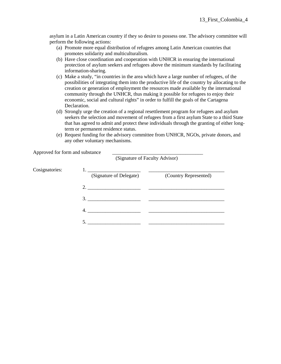asylum in a Latin American country if they so desire to possess one. The advisory committee will perform the following actions:

- (a) Promote more equal distribution of refugees among Latin American countries that promotes solidarity and multiculturalism.
- (b) Have close coordination and cooperation with UNHCR in ensuring the international protection of asylum seekers and refugees above the minimum standards by facilitating information-sharing.
- (c) Make a study, "in countries in the area which have a large number of refugees, of the possibilities of integrating them into the productive life of the country by allocating to the creation or generation of employment the resources made available by the international community through the UNHCR, thus making it possible for refugees to enjoy their economic, social and cultural rights" in order to fulfill the goals of the Cartagena Declaration.
- (d) Strongly urge the creation of a regional resettlement program for refugees and asylum seekers the selection and movement of refugees from a first asylum State to a third State that has agreed to admit and protect these individuals through the granting of either longterm or permanent residence status.
- (e) Request funding for the advisory committee from UNHCR, NGOs, private donors, and any other voluntary mechanisms.

| Approved for form and substance | (Signature of Faculty Advisor) |                       |
|---------------------------------|--------------------------------|-----------------------|
| Cosignatories:                  | (Signature of Delegate)        | (Country Represented) |
|                                 | 2.                             |                       |
|                                 | 3.                             |                       |
|                                 | 4.                             |                       |
|                                 | 5.                             |                       |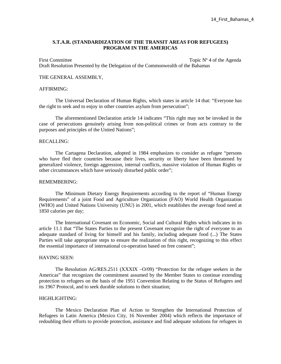## **S.T.A.R. (STANDARDIZATION OF THE TRANSIT AREAS FOR REFUGEES) PROGRAM IN THE AMERICAS**

First Committee Topic N° 4 of the Agenda Draft Resolution Presented by the Delegation of the Commonwealth of the Bahamas

#### THE GENERAL ASSEMBLY,

#### AFFIRMING:

The Universal Declaration of Human Rights, which states in article 14 that: "Everyone has the right to seek and to enjoy in other countries asylum from persecution";

The aforementioned Declaration article 14 indicates "This right may not be invoked in the case of persecutions genuinely arising from non-political crimes or from acts contrary to the purposes and principles of the United Nations";

#### RECALLING:

The Cartagena Declaration, adopted in 1984 emphasizes to consider as refugee "persons who have fled their countries because their lives, security or liberty have been threatened by generalized violence, foreign aggression, internal conflicts, massive violation of Human Rights or other circumstances which have seriously disturbed public order";

## REMEMBERING:

The Minimum Dietary Energy Requirements according to the report of "Human Energy Requirements" of a joint Food and Agriculture Organization (FAO) World Health Organization (WHO) and United Nations University (UNU) in 2001, which establishes the average food need at 1850 calories per day;

The International Covenant on Economic, Social and Cultural Rights which indicates in its article 11.1 that "The States Parties to the present Covenant recognize the right of everyone to an adequate standard of living for himself and his family, including adequate food (...) The States Parties will take appropriate steps to ensure the realization of this right, recognizing to this effect the essential importance of international co-operation based on free consent";

#### HAVING SEEN:

The Resolution AG/RES.2511 (XXXIX –O/09) "Protection for the refugee seekers in the Americas" that recognizes the commitment assumed by the Member States to continue extending protection to refugees on the basis of the 1951 Convention Relating to the Status of Refugees and its 1967 Protocol, and to seek durable solutions to their situation;

## HIGHLIGHTING:

The Mexico Declaration Plan of Action to Strengthen the International Protection of Refugees in Latin America (Mexico City, 16 November 2004) which reflects the importance of redoubling their efforts to provide protection, assistance and find adequate solutions for refugees in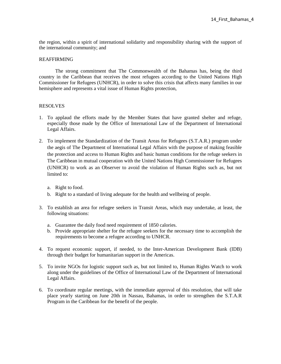the region, within a spirit of international solidarity and responsibility sharing with the support of the international community; and

## REAFFIRMING

The strong commitment that The Commonwealth of the Bahamas has, being the third country in the Caribbean that receives the most refugees according to the United Nations High Commissioner for Refugees (UNHCR), in order to solve this crisis that affects many families in our hemisphere and represents a vital issue of Human Rights protection,

- 1. To applaud the efforts made by the Member States that have granted shelter and refuge, especially those made by the Office of International Law of the Department of International Legal Affairs.
- 2. To implement the Standardization of the Transit Areas for Refugees (S.T.A.R.) program under the aegis of The Department of International Legal Affairs with the purpose of making feasible the protection and access to Human Rights and basic human conditions for the refuge seekers in The Caribbean in mutual cooperation with the United Nations High Commissioner for Refugees (UNHCR) to work as an Observer to avoid the violation of Human Rights such as, but not limited to:
	- a. Right to food.
	- b. Right to a standard of living adequate for the health and wellbeing of people.
- 3. To establish an area for refugee seekers in Transit Areas, which may undertake, at least, the following situations:
	- a. Guarantee the daily food need requirement of 1850 calories.
	- b. Provide appropriate shelter for the refugee seekers for the necessary time to accomplish the requirements to become a refugee according to UNHCR.
- 4. To request economic support, if needed, to the Inter-American Development Bank (IDB) through their budget for humanitarian support in the Americas.
- 5. To invite NGOs for logistic support such as, but not limited to, Human Rights Watch to work along under the guidelines of the Office of International Law of the Department of International Legal Affairs.
- 6. To coordinate regular meetings, with the immediate approval of this resolution, that will take place yearly starting on June 20th in Nassau, Bahamas, in order to strengthen the S.T.A.R Program in the Caribbean for the benefit of the people.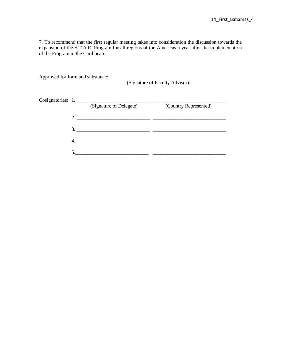7. To recommend that the first regular meeting takes into consideration the discussion towards the expansion of the S.T.A.R. Program for all regions of the Americas a year after the implementation of the Program in the Caribbean.

| Approved for form and substance: |                         | (Signature of Faculty Advisor) |
|----------------------------------|-------------------------|--------------------------------|
| Cosignatories: 1.                | (Signature of Delegate) | (Country Represented)          |
|                                  |                         |                                |
| 3.                               |                         |                                |
| 4.                               |                         |                                |
|                                  |                         |                                |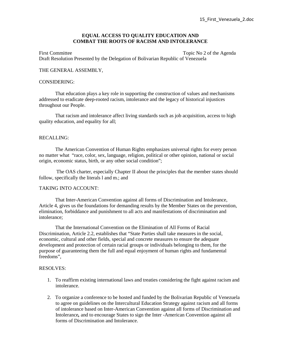## **EQUAL ACCESS TO QUALITY EDUCATION AND COMBAT THE ROOTS OF RACISM AND INTOLERANCE**

First Committee Topic No 2 of the Agenda Draft Resolution Presented by the Delegation of Bolivarian Republic of Venezuela

### THE GENERAL ASSEMBLY,

### CONSIDERING:

That education plays a key role in supporting the construction of values and mechanisms addressed to eradicate deep-rooted racism, intolerance and the legacy of historical injustices throughout our People.

That racism and intolerance affect living standards such as job acquisition, access to high quality education, and equality for all;

#### RECALLING:

 The American Convention of Human Rights emphasizes universal rights for every person no matter what "race, color, sex, language, religion, political or other opinion, national or social origin, economic status, birth, or any other social condition";

 The OAS charter, especially Chapter II about the principles that the member states should follow, specifically the literals l and m.; and

### TAKING INTO ACCOUNT:

That Inter-American Convention against all forms of Discrimination and Intolerance, Article 4, gives us the foundations for demanding results by the Member States on the prevention, elimination, forbiddance and punishment to all acts and manifestations of discrimination and intolerance;

That the International Convention on the Elimination of All Forms of Racial Discrimination, Article 2.2, establishes that "State Parties shall take measures in the social, economic, cultural and other fields, special and concrete measures to ensure the adequate development and protection of certain racial groups or individuals belonging to them, for the purpose of guaranteeing them the full and equal enjoyment of human rights and fundamental freedoms",

- 1. To reaffirm existing international laws and treaties considering the fight against racism and intolerance.
- 2. To organize a conference to be hosted and funded by the Bolivarian Republic of Venezuela to agree on guidelines on the Intercultural Education Strategy against racism and all forms of intolerance based on Inter-American Convention against all forms of Discrimination and Intolerance*,* and to encourage States to sign the Inter -American Convention against all forms of Discrimination and Intolerance.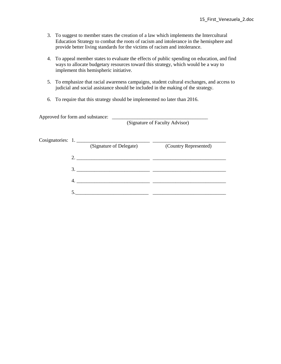- 3. To suggest to member states the creation of a law which implements the Intercultural Education Strategy to combat the roots of racism and intolerance in the hemisphere and provide better living standards for the victims of racism and intolerance.
- 4. To appeal member states to evaluate the effects of public spending on education, and find ways to allocate budgetary resources toward this strategy, which would be a way to implement this hemispheric initiative.
- 5. To emphasize that racial awareness campaigns, student cultural exchanges, and access to judicial and social assistance should be included in the making of the strategy.
- 6. To require that this strategy should be implemented no later than 2016.

| Approved for form and substance: |                                |
|----------------------------------|--------------------------------|
|                                  | (Signature of Faculty Advisor) |

|    | Cosignatories: 1.       |                       |
|----|-------------------------|-----------------------|
|    | (Signature of Delegate) | (Country Represented) |
|    | 2.                      |                       |
| 3. |                         |                       |
|    |                         |                       |
|    |                         |                       |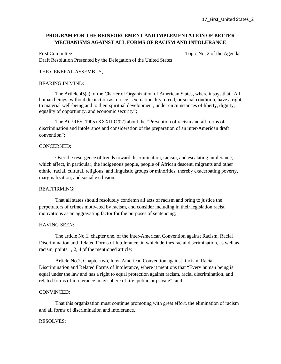# **PROGRAM FOR THE REINFORCEMENT AND IMPLEMENTATION OF BETTER MECHANISMS AGAINST ALL FORMS OF RACISM AND INTOLERANCE**

First Committee Topic No. 2 of the Agenda Draft Resolution Presented by the Delegation of the United States

## THE GENERAL ASSEMBLY,

## BEARING IN MIND:

The Article 45(a) of the Charter of Organization of American States, where it says that "All human beings, without distinction as to race, sex, nationality, creed, or social condition, have a right to material well-being and to their spiritual development, under circumstances of liberty, dignity, equality of opportunity, and economic security";

The AG/RES. 1905 (XXXII-O/02) about the "Prevention of racism and all forms of discrimination and intolerance and consideration of the preparation of an inter-American draft convention";

### CONCERNED:

Over the resurgence of trends toward discrimination, racism, and escalating intolerance, which affect, in particular, the indigenous people, people of African descent, migrants and other ethnic, racial, cultural, religious, and linguistic groups or minorities, thereby exacerbating poverty, marginalization, and social exclusion;

### REAFFIRMING:

That all states should resolutely condemn all acts of racism and bring to justice the perpetrators of crimes motivated by racism, and consider including in their legislation racist motivations as an aggravating factor for the purposes of sentencing;

# HAVING SEEN:

The article No.1, chapter one, of the Inter-American Convention against Racism, Racial Discrimination and Related Forms of Intolerance, in which defines racial discrimination, as well as racism, points 1, 2, 4 of the mentioned article;

Article No.2, Chapter two, Inter-American Convention against Racism, Racial Discrimination and Related Forms of Intolerance, where it mentions that "Every human being is equal under the law and has a right to equal protection against racism, racial discrimination, and related forms of intolerance in ay sphere of life, public or private"; and

# CONVINCED:

 That this organization must continue promoting with great effort, the elimination of racism and all forms of discrimination and intolerance,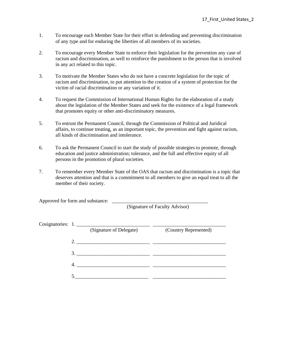- 1. To encourage each Member State for their effort in defending and preventing discrimination of any type and for enduring the liberties of all members of its societies.
- 2. To encourage every Member State to enforce their legislation for the prevention any case of racism and discrimination, as well to reinforce the punishment to the person that is involved in any act related to this topic.
- 3. To motivate the Member States who do not have a concrete legislation for the topic of racism and discrimination, to put attention to the creation of a system of protection for the victim of racial discrimination or any variation of it.
- 4. To request the Commission of International Human Rights for the elaboration of a study about the legislation of the Member States and seek for the existence of a legal framework that promotes equity or other anti-discriminatory measures.
- 5. To entrust the Permanent Council, through the Commission of Political and Juridical affairs, to continue treating, as an important topic, the prevention and fight against racism, all kinds of discrimination and intolerance.
- 6. To ask the Permanent Council to start the study of possible strategies to promote, through education and justice administration; tolerance, and the full and effective equity of all persons in the promotion of plural societies.
- 7. To remember every Member State of the OAS that racism and discrimination is a topic that deserves attention and that is a commitment to all members to give an equal treat to all the member of their society.

Approved for form and substance:

(Signature of Faculty Advisor)

|  | Cosignatories: 1.                                                                                                                                                                                                                                                                                                      |                       |
|--|------------------------------------------------------------------------------------------------------------------------------------------------------------------------------------------------------------------------------------------------------------------------------------------------------------------------|-----------------------|
|  | (Signature of Delegate)                                                                                                                                                                                                                                                                                                | (Country Represented) |
|  |                                                                                                                                                                                                                                                                                                                        |                       |
|  | 2. $\frac{1}{2}$ $\frac{1}{2}$ $\frac{1}{2}$ $\frac{1}{2}$ $\frac{1}{2}$ $\frac{1}{2}$ $\frac{1}{2}$ $\frac{1}{2}$ $\frac{1}{2}$ $\frac{1}{2}$ $\frac{1}{2}$ $\frac{1}{2}$ $\frac{1}{2}$ $\frac{1}{2}$ $\frac{1}{2}$ $\frac{1}{2}$ $\frac{1}{2}$ $\frac{1}{2}$ $\frac{1}{2}$ $\frac{1}{2}$ $\frac{1}{2}$ $\frac{1}{2}$ |                       |
|  | 3.                                                                                                                                                                                                                                                                                                                     |                       |
|  |                                                                                                                                                                                                                                                                                                                        |                       |
|  |                                                                                                                                                                                                                                                                                                                        |                       |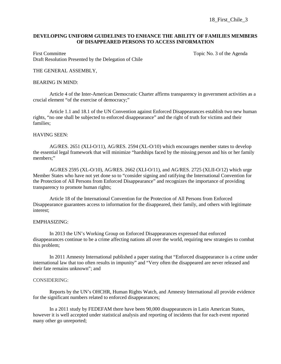18 First Chile 3

## **DEVELOPING UNIFORM GUIDELINES TO ENHANCE THE ABILITY OF FAMILIES MEMBERS OF DISAPPEARED PERSONS TO ACCESS INFORMATION**

First Committee Topic No. 3 of the Agenda Draft Resolution Presented by the Delegation of Chile

## THE GENERAL ASSEMBLY,

#### BEARING IN MIND:

Article 4 of the Inter-American Democratic Charter affirms transparency in government activities as a crucial element "of the exercise of democracy;"

Article 1.1 and 18.1 of the UN Convention against Enforced Disappearances establish two new human rights, "no one shall be subjected to enforced disappearance" and the right of truth for victims and their families;

#### HAVING SEEN:

 AG/RES. 2651 (XLI-O/11), AG/RES. 2594 (XL-O/10) which encourages member states to develop the essential legal framework that will minimize "hardships faced by the missing person and his or her family members;"

 AG/RES 2595 (XL-O/10), AG/RES. 2662 (XLI-O/11), and AG/RES. 2725 (XLII-O/12) which urge Member States who have not yet done so to "consider signing and ratifying the International Convention for the Protection of All Persons from Enforced Disappearance" and recognizes the importance of providing transparency to promote human rights;

 Article 18 of the International Convention for the Protection of All Persons from Enforced Disappearance guarantees access to information for the disappeared, their family, and others with legitimate interest;

#### EMPHASIZING:

 In 2013 the UN's Working Group on Enforced Disappearances expressed that enforced disappearances continue to be a crime affecting nations all over the world, requiring new strategies to combat this problem;

 In 2011 Amnesty International published a paper stating that "Enforced disappearance is a crime under international law that too often results in impunity" and "Very often the disappeared are never released and their fate remains unknown"; and

### CONSIDERING:

 Reports by the UN's OHCHR, Human Rights Watch, and Amnesty International all provide evidence for the significant numbers related to enforced disappearances;

 In a 2011 study by FEDEFAM there have been 90,000 disappearances in Latin American States, however it is well accepted under statistical analysis and reporting of incidents that for each event reported many other go unreported;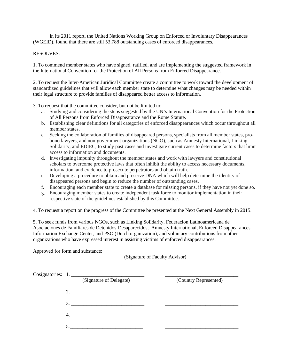In its 2011 report, the United Nations Working Group on Enforced or Involuntary Disappearances (WGEID), found that there are still 53,788 outstanding cases of enforced disappearances,

## RESOLVES:

1. To commend member states who have signed, ratified, and are implementing the suggested framework in the International Convention for the Protection of All Persons from Enforced Disappearance.

2. To request the Inter-American Juridical Committee create a committee to work toward the development of standardized guidelines that will allow each member state to determine what changes may be needed within their legal structure to provide families of disappeared better access to information.

3. To request that the committee consider, but not be limited to:

- a. Studying and considering the steps suggested by the UN's International Convention for the Protection of All Persons from Enforced Disappearance and the Rome Statute.
- b. Establishing clear definitions for all categories of enforced disappearances which occur throughout all member states.
- c. Seeking the collaboration of families of disappeared persons, specialists from all member states, probono lawyers, and non-government organizations (NGO), such as Amnesty International, Linking Solidarity, and EDIEC, to study past cases and investigate current cases to determine factors that limit access to information and documents.
- d. Investigating impunity throughout the member states and work with lawyers and constitutional scholars to overcome protective laws that often inhibit the ability to access necessary documents, information, and evidence to prosecute perpetrators and obtain truth.
- e. Developing a procedure to obtain and preserve DNA which will help determine the identity of disappeared persons and begin to reduce the number of outstanding cases.
- f. Encouraging each member state to create a database for missing persons, if they have not yet done so.
- g. Encouraging member states to create independent task force to monitor implementation in their respective state of the guidelines established by this Committee.

4. To request a report on the progress of the Committee be presented at the Next General Assembly in 2015.

5. To seek funds from various NGOs, such as Linking Solidarity, Federacion Latinoamericana de Asociaciones de Familiares de Detenidos-Desaparecidos, Amnesty International, Enforced Disappearances Information Exchange Center, and PSO (Dutch organization), and voluntary contributions from other organizations who have expressed interest in assisting victims of enforced disappearances.

| Approved for form and substance:<br><u> 1989 - Jan Stein Stein Stein Stein Stein Stein Stein Stein Stein Stein Stein Stein Stein Stein Stein Stein S</u><br>(Signature of Faculty Advisor) |                       |  |
|--------------------------------------------------------------------------------------------------------------------------------------------------------------------------------------------|-----------------------|--|
| Cosignatories: 1.<br>(Signature of Delegate)                                                                                                                                               | (Country Represented) |  |
| 2.<br><u> 1980 - Andrea Andrew Maria (h. 1980).</u>                                                                                                                                        |                       |  |
| 3.                                                                                                                                                                                         |                       |  |
| $\mathcal{A}$                                                                                                                                                                              |                       |  |
|                                                                                                                                                                                            |                       |  |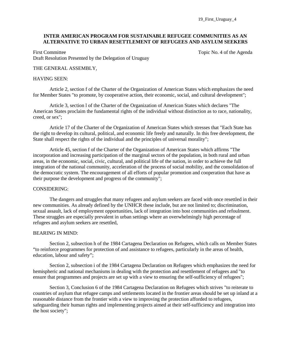19\_First\_Uruguay\_4

## **INTER AMERICAN PROGRAM FOR SUSTAINABLE REFUGEE COMMUNITIES AS AN ALTERNATIVE TO URBAN RESETTLEMENT OF REFUGEES AND ASYLUM SEEKERS**

First Committee Topic No. 4 of the Agenda Draft Resolution Presented by the Delegation of Uruguay

## THE GENERAL ASSEMBLY,

#### HAVING SEEN:

 Article 2, section f of the Charter of the Organization of American States which emphasizes the need for Member States "to promote, by cooperative action, their economic, social, and cultural development";

 Article 3, section l of the Charter of the Organization of American States which declares "The American States proclaim the fundamental rights of the individual without distinction as to race, nationality, creed, or sex";

Article 17 of the Charter of the Organization of American States which stresses that "Each State has the right to develop its cultural, political, and economic life freely and naturally. In this free development, the State shall respect the rights of the individual and the principles of universal morality";

 Article 45, section f of the Charter of the Organization of American States which affirms "The incorporation and increasing participation of the marginal sectors of the population, in both rural and urban areas, in the economic, social, civic, cultural, and political life of the nation, in order to achieve the full integration of the national community, acceleration of the process of social mobility, and the consolidation of the democratic system. The encouragement of all efforts of popular promotion and cooperation that have as their purpose the development and progress of the community";

### CONSIDERING:

The dangers and struggles that many refugees and asylum seekers are faced with once resettled in their new communities. As already defined by the UNHCR these include, but are not limited to; discrimination, sexual assault, lack of employment opportunities, lack of integration into host communities and refoulment. These struggles are especially prevalent in urban settings where an overwhelmingly high percentage of refugees and asylum seekers are resettled,

### BEARING IN MIND:

Section 2, subsection h of the 1984 Cartagena Declaration on Refugees, which calls on Member States "to reinforce programmes for protection of and assistance to refugees, particularly in the areas of health, education, labour and safety";

Section 2, subsection i of the 1984 Cartagena Declaration on Refugees which emphasizes the need for hemispheric and national mechanisms in dealing with the protection and resettlement of refugees and "to ensure that programmes and projects are set up with a view to ensuring the self-sufficiency of refugees";

 Section 3, Conclusion 6 of the 1984 Cartagena Declaration on Refugees which strives "to reiterate to countries of asylum that refugee camps and settlements located in the frontier areas should be set up inland at a reasonable distance from the frontier with a view to improving the protection afforded to refugees, safeguarding their human rights and implementing projects aimed at their self-sufficiency and integration into the host society";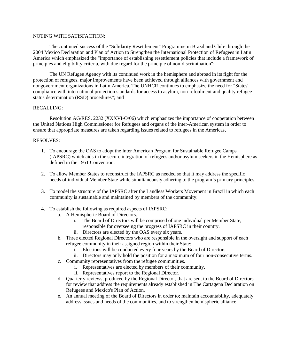## NOTING WITH SATISFACTION:

The continued success of the "Solidarity Resettlement" Programme in Brazil and Chile through the 2004 Mexico Declaration and Plan of Action to Strengthen the International Protection of Refugees in Latin America which emphasized the "importance of establishing resettlement policies that include a framework of principles and eligibility criteria, with due regard for the principle of non-discrimination";

The UN Refugee Agency with its continued work in the hemisphere and abroad in its fight for the protection of refugees, major improvements have been achieved through alliances with government and nongovernment organizations in Latin America. The UNHCR continues to emphasize the need for "States' compliance with international protection standards for access to asylum, non-refoulment and quality refugee status determination (RSD) procedures"; and

### RECALLING:

Resolution AG/RES. 2232 (XXXVI-O/06) which emphasizes the importance of cooperation between the United Nations High Commissioner for Refugees and organs of the inter-American system in order to ensure that appropriate measures are taken regarding issues related to refugees in the Americas,

- 1. To encourage the OAS to adopt the Inter American Program for Sustainable Refugee Camps (IAPSRC) which aids in the secure integration of refugees and/or asylum seekers in the Hemisphere as defined in the 1951 Convention.
- 2. To allow Member States to reconstruct the IAPSRC as needed so that it may address the specific needs of individual Member State while simultaneously adhering to the program's primary principles.
- 3. To model the structure of the IAPSRC after the Landless Workers Movement in Brazil in which each community is sustainable and maintained by members of the community.
- 4. To establish the following as required aspects of IAPSRC:
	- a. A Hemispheric Board of Directors.
		- i. The Board of Directors will be comprised of one individual per Member State, responsible for overseeing the progress of IAPSRC in their country.
		- ii. Directors are elected by the OAS every six years.
	- b. Three elected Regional Directors who are responsible in the oversight and support of each refugee community in their assigned region within their State:
		- i. Elections will be conducted every four years by the Board of Directors.
		- ii. Directors may only hold the position for a maximum of four non-consecutive terms.
	- c. Community representatives from the refugee communities.
		- i. Representatives are elected by members of their community.
		- ii. Representatives report to the Regional Director.
	- d. Quarterly reviews, produced by the Regional Director, that are sent to the Board of Directors for review that address the requirements already established in The Cartagena Declaration on Refugees and Mexico's Plan of Action.
	- e. An annual meeting of the Board of Directors in order to; maintain accountability, adequately address issues and needs of the communities, and to strengthen hemispheric alliance.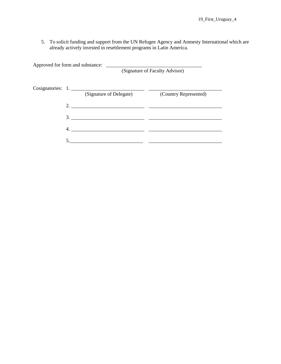5. To solicit funding and support from the UN Refugee Agency and Amnesty International which are already actively invested in resettlement programs in Latin America.

Approved for form and substance: \_\_\_\_\_\_\_\_\_\_\_\_\_\_\_\_\_\_\_\_\_\_\_\_\_\_\_\_\_\_\_\_\_\_\_\_\_\_ (Signature of Faculty Advisor) Cosignatories: 1. \_\_\_\_\_\_\_\_\_\_\_\_\_\_\_\_\_\_\_\_\_\_\_\_\_\_\_\_\_ \_\_\_\_\_\_\_\_\_\_\_\_\_\_\_\_\_\_\_\_\_\_\_\_\_\_\_\_\_ (Signature of Delegate) (Country Represented) 2. \_\_\_\_\_\_\_\_\_\_\_\_\_\_\_\_\_\_\_\_\_\_\_\_\_\_\_\_\_ \_\_\_\_\_\_\_\_\_\_\_\_\_\_\_\_\_\_\_\_\_\_\_\_\_\_\_\_\_ 3. \_\_\_\_\_\_\_\_\_\_\_\_\_\_\_\_\_\_\_\_\_\_\_\_\_\_\_\_\_ \_\_\_\_\_\_\_\_\_\_\_\_\_\_\_\_\_\_\_\_\_\_\_\_\_\_\_\_\_ 4. \_\_\_\_\_\_\_\_\_\_\_\_\_\_\_\_\_\_\_\_\_\_\_\_\_\_\_\_\_ \_\_\_\_\_\_\_\_\_\_\_\_\_\_\_\_\_\_\_\_\_\_\_\_\_\_\_\_\_ 5.\_\_\_\_\_\_\_\_\_\_\_\_\_\_\_\_\_\_\_\_\_\_\_\_\_\_\_\_\_ \_\_\_\_\_\_\_\_\_\_\_\_\_\_\_\_\_\_\_\_\_\_\_\_\_\_\_\_\_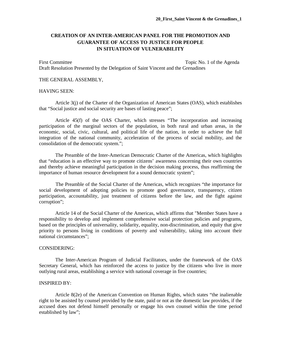# **CREATION OF AN INTER-AMERICAN PANEL FOR THE PROMOTION AND GUARANTEE OF ACCESS TO JUSTICE FOR PEOPLE IN SITUATION OF VULNERABILITY**

First Committee Topic No. 1 of the Agenda Draft Resolution Presented by the Delegation of Saint Vincent and the Grenadines

#### THE GENERAL ASSEMBLY,

## HAVING SEEN:

Article 3(j) of the Charter of the Organization of American States (OAS), which establishes that "Social justice and social security are bases of lasting peace";

Article 45(f) of the OAS Charter, which stresses "The incorporation and increasing participation of the marginal sectors of the population, in both rural and urban areas, in the economic, social, civic, cultural, and political life of the nation, in order to achieve the full integration of the national community, acceleration of the process of social mobility, and the consolidation of the democratic system.";

The Preamble of the Inter-American Democratic Charter of the Americas, which highlights that "education is an effective way to promote citizens' awareness concerning their own countries and thereby achieve meaningful participation in the decision making process, thus reaffirming the importance of human resource development for a sound democratic system";

The Preamble of the Social Charter of the Americas, which recognizes "the importance for social development of adopting policies to promote good governance, transparency, citizen participation, accountability, just treatment of citizens before the law, and the fight against corruption";

Article 14 of the Social Charter of the Americas, which affirms that "Member States have a responsibility to develop and implement comprehensive social protection policies and programs, based on the principles of universality, solidarity, equality, non-discrimination, and equity that give priority to persons living in conditions of poverty and vulnerability, taking into account their national circumstances";

## CONSIDERING:

The Inter-American Program of Judicial Facilitators, under the framework of the OAS Secretary General, which has reinforced the access to justice by the citizens who live in more outlying rural areas, establishing a service with national coverage in five countries;

## INSPIRED BY:

Article 8(2e) of the American Convention on Human Rights, which states "the inalienable right to be assisted by counsel provided by the state, paid or not as the domestic law provides, if the accused does not defend himself personally or engage his own counsel within the time period established by law";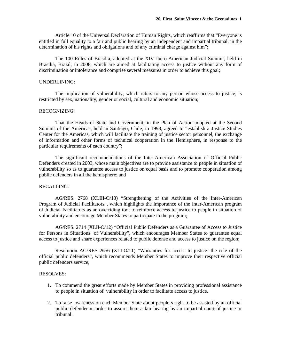Article 10 of the Universal Declaration of Human Rights, which reaffirms that "Everyone is entitled in full equality to a fair and public hearing by an independent and impartial tribunal, in the determination of his rights and obligations and of any criminal charge against him";

The 100 Rules of Brasilia, adopted at the XIV Ibero-American Judicial Summit, held in Brasilia, Brazil, in 2008, which are aimed at facilitating access to justice without any form of discrimination or intolerance and comprise several measures in order to achieve this goal;

#### UNDERLINING:

 The implication of vulnerability, which refers to any person whose access to justice, is restricted by sex, nationality, gender or social, cultural and economic situation;

#### RECOGNIZING:

That the Heads of State and Government, in the Plan of Action adopted at the Second Summit of the Americas, held in Santiago, Chile, in 1998, agreed to "establish a Justice Studies Center for the Americas, which will facilitate the training of justice sector personnel, the exchange of information and other forms of technical cooperation in the Hemisphere, in response to the particular requirements of each country";

The significant recommendations of the Inter-American Association of Official Public Defenders created in 2003, whose main objectives are to provide assistance to people in situation of vulnerability so as to guarantee access to justice on equal basis and to promote cooperation among public defenders in all the hemisphere; and

#### RECALLING:

AG/RES. 2768 (XLIII-O/13) "Strengthening of the Activities of the Inter-American Program of Judicial Facilitators", which highlights the importance of the Inter-American program of Judicial Facilitators as an overriding tool to reinforce access to justice to people in situation of vulnerability and encourage Member States to participate in the program;

AG/RES. 2714 (XLII-O/12) "Official Public Defenders as a Guarantee of Access to Justice for Persons in Situations of Vulnerability", which encourages Member States to guarantee equal access to justice and share experiences related to public defense and access to justice on the region;

Resolution AG/RES 2656 (XLI-O/11) "Warranties for access to justice: the role of the official public defenders", which recommends Member States to improve their respective official public defenders service,

- 1. To commend the great efforts made by Member States in providing professional assistance to people in situation of vulnerability in order to facilitate access to justice.
- 2. To raise awareness on each Member State about people's right to be assisted by an official public defender in order to assure them a fair hearing by an impartial court of justice or tribunal.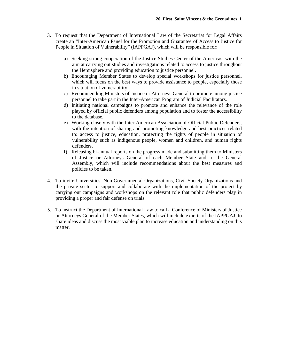- 3. To request that the Department of International Law of the Secretariat for Legal Affairs create an "Inter-American Panel for the Promotion and Guarantee of Access to Justice for People in Situation of Vulnerability" (IAPPGAJ), which will be responsible for:
	- a) Seeking strong cooperation of the Justice Studies Center of the Americas, with the aim at carrying out studies and investigations related to access to justice throughout the Hemisphere and providing education to justice personnel.
	- b) Encouraging Member States to develop special workshops for justice personnel, which will focus on the best ways to provide assistance to people, especially those in situation of vulnerability.
	- c) Recommending Ministers of Justice or Attorneys General to promote among justice personnel to take part in the Inter-American Program of Judicial Facilitators.
	- d) Initiating national campaigns to promote and enhance the relevance of the role played by official public defenders among population and to foster the accessibility to the database.
	- e) Working closely with the Inter-American Association of Official Public Defenders, with the intention of sharing and promoting knowledge and best practices related to: access to justice, education, protecting the rights of people in situation of vulnerability such as indigenous people, women and children, and human rights defenders.
	- f) Releasing bi-annual reports on the progress made and submitting them to Ministers of Justice or Attorneys General of each Member State and to the General Assembly, which will include recommendations about the best measures and policies to be taken.
- 4. To invite Universities, Non-Governmental Organizations, Civil Society Organizations and the private sector to support and collaborate with the implementation of the project by carrying out campaigns and workshops on the relevant role that public defenders play in providing a proper and fair defense on trials.
- 5. To instruct the Department of International Law to call a Conference of Ministers of Justice or Attorneys General of the Member States, which will include experts of the IAPPGAJ, to share ideas and discuss the most viable plan to increase education and understanding on this matter.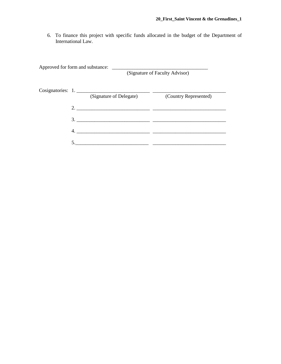6. To finance this project with specific funds allocated in the budget of the Department of International Law.

| Approved for form and substance: |    |                         | (Signature of Faculty Advisor) |
|----------------------------------|----|-------------------------|--------------------------------|
|                                  |    | (Signature of Delegate) | (Country Represented)          |
|                                  | 2. |                         |                                |
|                                  | 3. |                         |                                |
|                                  | 4. |                         |                                |
|                                  |    |                         |                                |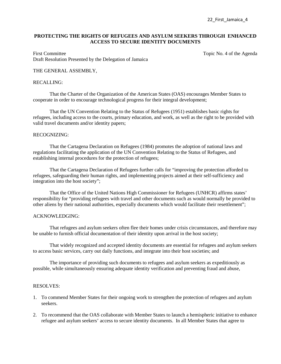## **PROTECTING THE RIGHTS OF REFUGEES AND ASYLUM SEEKERS THROUGH ENHANCED ACCESS TO SECURE IDENTITY DOCUMENTS**

First Committee Topic No. 4 of the Agenda Draft Resolution Presented by the Delegation of Jamaica

## THE GENERAL ASSEMBLY,

#### RECALLING:

That the Charter of the Organization of the American States (OAS) encourages Member States to cooperate in order to encourage technological progress for their integral development;

That the UN Convention Relating to the Status of Refugees (1951) establishes basic rights for refugees, including access to the courts, primary education, and work, as well as the right to be provided with valid travel documents and/or identity papers;

#### RECOGNIZING:

That the Cartagena Declaration on Refugees (1984) promotes the adoption of national laws and regulations facilitating the application of the UN Convention Relating to the Status of Refugees, and establishing internal procedures for the protection of refugees;

 That the Cartagena Declaration of Refugees further calls for "improving the protection afforded to refugees, safeguarding their human rights, and implementing projects aimed at their self-sufficiency and integration into the host society";

 That the Office of the United Nations High Commissioner for Refugees (UNHCR) affirms states' responsibility for "providing refugees with travel and other documents such as would normally be provided to other aliens by their national authorities, especially documents which would facilitate their resettlement";

### ACKNOWLEDGING:

That refugees and asylum seekers often flee their homes under crisis circumstances, and therefore may be unable to furnish official documentation of their identity upon arrival in the host society;

 That widely recognized and accepted identity documents are essential for refugees and asylum seekers to access basic services, carry out daily functions, and integrate into their host societies; and

 The importance of providing such documents to refugees and asylum seekers as expeditiously as possible, while simultaneously ensuring adequate identity verification and preventing fraud and abuse,

- 1. To commend Member States for their ongoing work to strengthen the protection of refugees and asylum seekers.
- 2. To recommend that the OAS collaborate with Member States to launch a hemispheric initiative to enhance refugee and asylum seekers' access to secure identity documents. In all Member States that agree to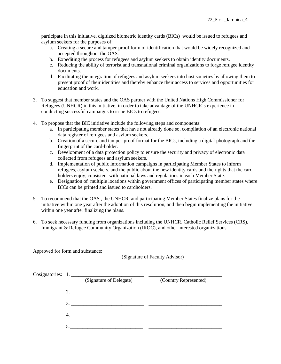participate in this initiative, digitized biometric identity cards (BICs) would be issued to refugees and asylum seekers for the purposes of:

- a. Creating a secure and tamper-proof form of identification that would be widely recognized and accepted throughout the OAS.
- b. Expediting the process for refugees and asylum seekers to obtain identity documents.
- c. Reducing the ability of terrorist and transnational criminal organizations to forge refugee identity documents.
- d. Facilitating the integration of refugees and asylum seekers into host societies by allowing them to present proof of their identities and thereby enhance their access to services and opportunities for education and work.
- 3. To suggest that member states and the OAS partner with the United Nations High Commissioner for Refugees (UNHCR) in this initiative, in order to take advantage of the UNHCR's experience in conducting successful campaigns to issue BICs to refugees.
- 4. To propose that the BIC initiative include the following steps and components:
	- a. In participating member states that have not already done so, compilation of an electronic national data register of refugees and asylum seekers.
	- b. Creation of a secure and tamper-proof format for the BICs, including a digital photograph and the fingerprint of the card-holder.
	- c. Development of a data protection policy to ensure the security and privacy of electronic data collected from refugees and asylum seekers.
	- d. Implementation of public information campaigns in participating Member States to inform refugees, asylum seekers, and the public about the new identity cards and the rights that the cardholders enjoy, consistent with national laws and regulations in each Member State.
	- e. Designation of multiple locations within government offices of participating member states where BICs can be printed and issued to cardholders.
- 5. To recommend that the OAS , the UNHCR, and participating Member States finalize plans for the initiative within one year after the adoption of this resolution, and then begin implementing the initiative within one year after finalizing the plans.
- 6. To seek necessary funding from organizations including the UNHCR, Catholic Relief Services (CRS), Immigrant & Refugee Community Organization (IROC), and other interested organizations.

| Approved for form and substance: |                    |                         | (Signature of Faculty Advisor) |
|----------------------------------|--------------------|-------------------------|--------------------------------|
|                                  | Cosignatories: 1.  | (Signature of Delegate) | (Country Represented)          |
|                                  | 2. $\qquad \qquad$ |                         |                                |
|                                  | 3.                 |                         |                                |
|                                  | 4.                 |                         |                                |
|                                  | 5                  |                         |                                |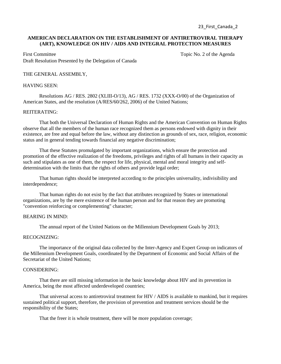23 First Canada 2

# **AMERICAN DECLARATION ON THE ESTABLISHMENT OF ANTIRETROVIRAL THERAPY (ART), KNOWLEDGE ON HIV / AIDS AND INTEGRAL PROTECTION MEASURES**

First Committee Topic No. 2 of the Agenda Draft Resolution Presented by the Delegation of Canada

## THE GENERAL ASSEMBLY,

#### HAVING SEEN:

Resolutions AG / RES. 2802 (XLIII-O/13), AG / RES. 1732 (XXX-O/00) of the Organization of American States, and the resolution (A/RES/60/262, 2006) of the United Nations;

## REITERATING:

That both the Universal Declaration of Human Rights and the American Convention on Human Rights observe that all the members of the human race recognized them as persons endowed with dignity in their existence, are free and equal before the law, without any distinction as grounds of sex, race, religion, economic status and in general tending towards financial any negative discrimination;

That these Statutes promulgated by important organizations, which ensure the protection and promotion of the effective realization of the freedoms, privileges and rights of all humans in their capacity as such and stipulates as one of them, the respect for life, physical, mental and moral integrity and selfdetermination with the limits that the rights of others and provide legal order;

That human rights should be interpreted according to the principles universality, indivisibility and interdependence;

 That human rights do not exist by the fact that attributes recognized by States or international organizations, are by the mere existence of the human person and for that reason they are promoting "convention reinforcing or complementing" character;

## BEARING IN MIND:

The annual report of the United Nations on the Millennium Development Goals by 2013;

## RECOGNIZING:

The importance of the original data collected by the Inter-Agency and Expert Group on indicators of the Millennium Development Goals, coordinated by the Department of Economic and Social Affairs of the Secretariat of the United Nations;

#### CONSIDERING:

That there are still missing information in the basic knowledge about HIV and its prevention in America, being the most affected underdeveloped countries;

That universal access to antiretroviral treatment for HIV / AIDS is available to mankind, but it requires sustained political support, therefore, the provision of prevention and treatment services should be the responsibility of the States;

That the freer it is whole treatment, there will be more population coverage;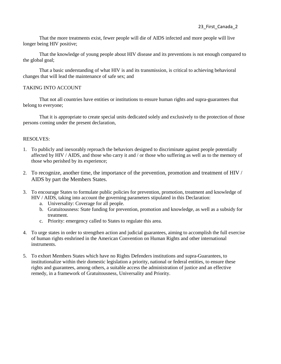That the more treatments exist, fewer people will die of AIDS infected and more people will live longer being HIV positive;

That the knowledge of young people about HIV disease and its preventions is not enough compared to the global goal;

That a basic understanding of what HIV is and its transmission, is critical to achieving behavioral changes that will lead the maintenance of safe sex; and

# TAKING INTO ACCOUNT

 That not all countries have entities or institutions to ensure human rights and supra-guarantees that belong to everyone;

That it is appropriate to create special units dedicated solely and exclusively to the protection of those persons coming under the present declaration,

- 1. To publicly and inexorably reproach the behaviors designed to discriminate against people potentially affected by HIV / AIDS, and those who carry it and / or those who suffering as well as to the memory of those who perished by its experience;
- 2. To recognize, another time, the importance of the prevention, promotion and treatment of HIV / AIDS by part the Members States.
- 3. To encourage States to formulate public policies for prevention, promotion, treatment and knowledge of HIV / AIDS, taking into account the governing parameters stipulated in this Declaration:
	- a. Universality: Coverage for all people.
	- b. Gratuitousness: State funding for prevention, promotion and knowledge, as well as a subsidy for treatment.
	- c. Priority: emergency called to States to regulate this area.
- 4. To urge states in order to strengthen action and judicial guarantees, aiming to accomplish the full exercise of human rights enshrined in the American Convention on Human Rights and other international instruments.
- 5. To exhort Members States which have no Rights Defenders institutions and supra-Guarantees, to institutionalize within their domestic legislation a priority, national or federal entities, to ensure these rights and guarantees, among others, a suitable access the administration of justice and an effective remedy, in a framework of Gratuitousness, Universality and Priority.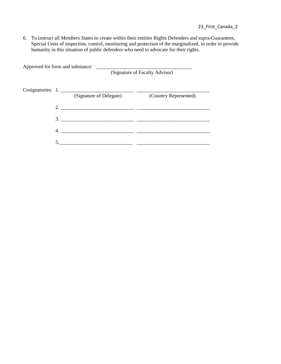6. To instruct all Members States to create within their entities Rights Defenders and supra-Guarantees, Special Units of inspection, control, monitoring and protection of the marginalized, in order to provide humanity in this situation of public defenders who need to advocate for their rights.

| Approved for form and substance: |                         | (Signature of Faculty Advisor) |
|----------------------------------|-------------------------|--------------------------------|
| Cosignatories: 1.                | (Signature of Delegate) | (Country Represented)          |
|                                  |                         |                                |
| 3.                               |                         |                                |
| 4.                               |                         |                                |
|                                  |                         |                                |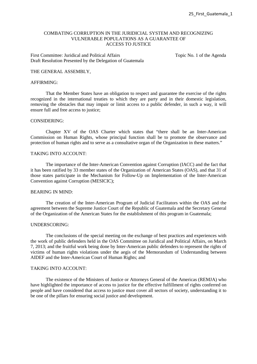## COMBATING CORRUPTION IN THE JURIDICIAL SYSTEM AND RECOGNIZING VULNERABLE POPULATIONS AS A GUARANTEE OF ACCESS TO JUSTICE

First Committee: Juridical and Political Affairs Topic No. 1 of the Agenda Draft Resolution Presented by the Delegation of Guatemala

#### THE GENERAL ASSEMBLY,

## AFFIRMING:

That the Member States have an obligation to respect and guarantee the exercise of the rights recognized in the international treaties to which they are party and in their domestic legislation, removing the obstacles that may impair or limit access to a public defender, in such a way, it will ensure full and free access to justice;

## CONSIDERING:

Chapter XV of the OAS Charter which states that "there shall be an Inter-American Commission on Human Rights, whose principal function shall be to promote the observance and protection of human rights and to serve as a consultative organ of the Organization in these matters."

## TAKING INTO ACCOUNT:

The importance of the Inter-American Convention against Corruption (IACC) and the fact that it has been ratified by 33 member states of the Organization of American States (OAS), and that 31 of those states participate in the Mechanism for Follow-Up on Implementation of the Inter-American Convention against Corruption (MESICIC);

#### BEARING IN MIND:

The creation of the Inter-American Program of Judicial Facilitators within the OAS and the agreement between the Supreme Justice Court of the Republic of Guatemala and the Secretary General of the Organization of the American States for the establishment of this program in Guatemala;

#### UNDERSCORING:

The conclusions of the special meeting on the exchange of best practices and experiences with the work of public defenders held in the OAS Committee on Juridical and Political Affairs, on March 7, 2013; and the fruitful work being done by Inter-American public defenders to represent the rights of victims of human rights violations under the aegis of the Memorandum of Understanding between AIDEF and the Inter-American Court of Human Rights; and

## TAKING INTO ACCOUNT.

The existence of the Ministers of Justice or Attorneys General of the Americas (REMJA) who have highlighted the importance of access to justice for the effective fulfillment of rights conferred on people and have considered that access to justice must cover all sectors of society, understanding it to be one of the pillars for ensuring social justice and development.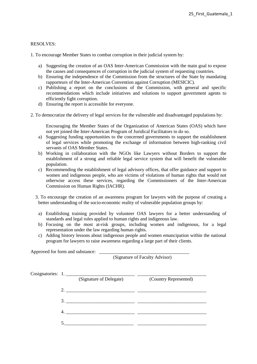# RESOLVES:

1. To encourage Member States to combat corruption in their judicial system by:

- a) Suggesting the creation of an OAS Inter-American Commission with the main goal to expose the causes and consequences of corruption in the judicial system of requesting countries.
- b) Ensuring the independence of the Commission from the structures of the State by mandating rapporteurs of the Inter-American Convention against Corruption (MESICIC).
- c) Publishing a report on the conclusions of the Commission, with general and specific recommendations which include initiatives and solutions to support government agents to efficiently fight corruption.
- d) Ensuring the report is accessible for everyone.
- 2. To democratize the delivery of legal services for the vulnerable and disadvantaged populations by:

Encouraging the Member States of the Organization of American States (OAS) which have not yet joined the Inter-American Program of Juridical Facilitators to do so.

- a) Suggesting funding opportunities to the concerned governments to support the establishment of legal services while promoting the exchange of information between high-ranking civil servants of OAS Member States.
- b) Working in collaboration with the NGOs like Lawyers without Borders to support the establishment of a strong and reliable legal service system that will benefit the vulnerable population.
- c) Recommending the establishment of legal advisory offices, that offer guidance and support to women and indigenous people, who are victims of violations of human rights that would not otherwise access these services, regarding the Commissioners of the Inter-American Commission on Human Rights (IACHR).
- 3. To encourage the creation of an awareness program for lawyers with the purpose of creating a better understanding of the socio-economic reality of vulnerable population groups by:
	- a) Establishing training provided by volunteer OAS lawyers for a better understanding of standards and legal rules applied to human rights and indigenous law.
	- b) Focusing on the most at-risk groups, including women and indigenous, for a legal representation under the law regarding human rights.
	- c) Adding history lessons about indigenous people and women emancipation within the national program for lawyers to raise awareness regarding a large part of their clients.

Approved for form and substance: \_\_\_\_\_\_\_\_\_\_\_\_\_\_\_\_\_\_\_\_\_\_\_\_\_\_\_\_\_\_\_\_\_\_\_\_\_\_ (Signature of Faculty Advisor) Cosignatories: 1. \_\_\_\_\_\_\_\_\_\_\_\_\_\_\_\_\_\_\_\_\_\_\_\_\_\_\_\_\_ \_\_\_\_\_\_\_\_\_\_\_\_\_\_\_\_\_\_\_\_\_\_\_\_\_\_\_\_\_ (Signature of Delegate) (Country Represented) 2. \_\_\_\_\_\_\_\_\_\_\_\_\_\_\_\_\_\_\_\_\_\_\_\_\_\_\_\_\_ \_\_\_\_\_\_\_\_\_\_\_\_\_\_\_\_\_\_\_\_\_\_\_\_\_\_\_\_\_  $3.$  4. \_\_\_\_\_\_\_\_\_\_\_\_\_\_\_\_\_\_\_\_\_\_\_\_\_\_\_\_\_ \_\_\_\_\_\_\_\_\_\_\_\_\_\_\_\_\_\_\_\_\_\_\_\_\_\_\_\_\_  $5.$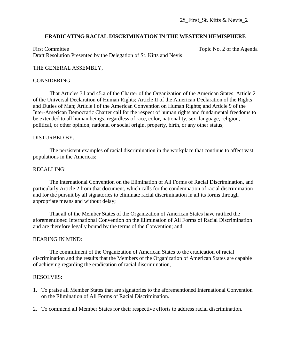# **ERADICATING RACIAL DISCRIMINATION IN THE WESTERN HEMISPHERE**

First Committee Topic No. 2 of the Agenda Draft Resolution Presented by the Delegation of St. Kitts and Nevis

# THE GENERAL ASSEMBLY,

# CONSIDERING:

That Articles 3.l and 45.a of the Charter of the Organization of the American States; Article 2 of the Universal Declaration of Human Rights; Article II of the American Declaration of the Rights and Duties of Man; Article I of the American Convention on Human Rights; and Article 9 of the Inter-American Democratic Charter call for the respect of human rights and fundamental freedoms to be extended to all human beings, regardless of race, color, nationality, sex, language, religion, political, or other opinion, national or social origin, property, birth, or any other status;

# DISTURBED BY:

The persistent examples of racial discrimination in the workplace that continue to affect vast populations in the Americas;

# RECALLING:

The International Convention on the Elimination of All Forms of Racial Discrimination, and particularly Article 2 from that document, which calls for the condemnation of racial discrimination and for the pursuit by all signatories to eliminate racial discrimination in all its forms through appropriate means and without delay;

That all of the Member States of the Organization of American States have ratified the aforementioned International Convention on the Elimination of All Forms of Racial Discrimination and are therefore legally bound by the terms of the Convention; and

# BEARING IN MIND:

The commitment of the Organization of American States to the eradication of racial discrimination and the results that the Members of the Organization of American States are capable of achieving regarding the eradication of racial discrimination,

- 1. To praise all Member States that are signatories to the aforementioned International Convention on the Elimination of All Forms of Racial Discrimination.
- 2. To commend all Member States for their respective efforts to address racial discrimination.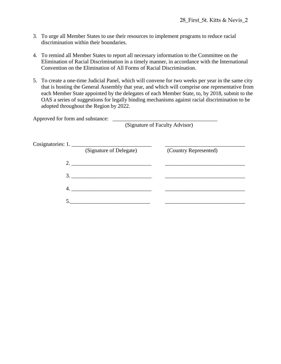- 3. To urge all Member States to use their resources to implement programs to reduce racial discrimination within their boundaries.
- 4. To remind all Member States to report all necessary information to the Committee on the Elimination of Racial Discrimination in a timely manner, in accordance with the International Convention on the Elimination of All Forms of Racial Discrimination.
- 5. To create a one-time Judicial Panel, which will convene for two weeks per year in the same city that is hosting the General Assembly that year, and which will comprise one representative from each Member State appointed by the delegates of each Member State, to, by 2018, submit to the OAS a series of suggestions for legally binding mechanisms against racial discrimination to be adopted throughout the Region by 2022.

| Approved for form and substance: |                                |
|----------------------------------|--------------------------------|
|                                  | (Signature of Faculty Advisor) |

|    | (Signature of Delegate) | (Country Represented) |
|----|-------------------------|-----------------------|
|    |                         |                       |
|    | 3.                      |                       |
| 4. |                         |                       |
|    |                         |                       |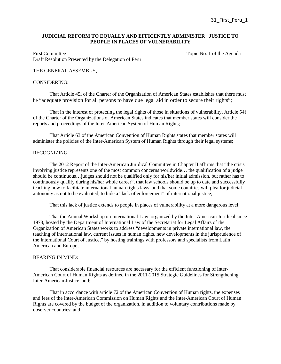## **JUDICIAL REFORM TO EQUALLY AND EFFICENTLY ADMINISTER JUSTICE TO PEOPLE IN PLACES OF VULNERABILITY**

First Committee Topic No. 1 of the Agenda Draft Resolution Presented by the Delegation of Peru

## THE GENERAL ASSEMBLY,

#### CONSIDERING:

That Article 45i of the Charter of the Organization of American States establishes that there must be "adequate provision for all persons to have due legal aid in order to secure their rights";

That in the interest of protecting the legal rights of those in situations of vulnerability, Article 54f of the Charter of the Organizations of American States indicates that member states will consider the reports and proceedings of the Inter-American System of Human Rights;

That Article 63 of the American Convention of Human Rights states that member states will administer the policies of the Inter-American System of Human Rights through their legal systems;

#### RECOGNIZING:

 The 2012 Report of the Inter-American Juridical Committee in Chapter II affirms that "the crisis involving justice represents one of the most common concerns worldwide… the qualification of a judge should be continuous…judges should not be qualified only for his/her initial admission, but rather has to continuously qualify during his/her whole career", that law schools should be up to date and successfully teaching how to facilitate international human rights laws, and that some countries will plea for judicial autonomy as not to be evaluated, to hide a "lack of enforcement" of international justice;

That this lack of justice extends to people in places of vulnerability at a more dangerous level;

That the Annual Workshop on International Law, organized by the Inter-American Juridical since 1973, hosted by the Department of International Law of the Secretariat for Legal Affairs of the Organization of American States works to address "developments in private international law, the teaching of international law, current issues in human rights, new developments in the jurisprudence of the International Court of Justice," by hosting trainings with professors and specialists from Latin American and Europe;

# BEARING IN MIND:

That considerable financial resources are necessary for the efficient functioning of Inter-American Court of Human Rights as defined in the 2011-2015 Strategic Guidelines for Strengthening Inter-American Justice, and;

 That in accordance with article 72 of the American Convention of Human rights, the expenses and fees of the Inter-American Commission on Human Rights and the Inter-American Court of Human Rights are covered by the budget of the organization, in addition to voluntary contributions made by observer countries; and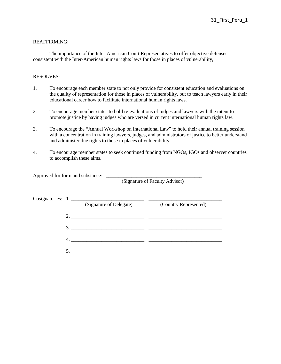## REAFFIRMING:

 The importance of the Inter-American Court Representatives to offer objective defenses consistent with the Inter-American human rights laws for those in places of vulnerability,

## RESOLVES:

- 1. To encourage each member state to not only provide for consistent education and evaluations on the quality of representation for those in places of vulnerability, but to teach lawyers early in their educational career how to facilitate international human rights laws.
- 2. To encourage member states to hold re-evaluations of judges and lawyers with the intent to promote justice by having judges who are versed in current international human rights law.
- 3. To encourage the "Annual Workshop on International Law" to hold their annual training session with a concentration in training lawyers, judges, and administrators of justice to better understand and administer due rights to those in places of vulnerability.
- 4. To encourage member states to seek continued funding from NGOs, IGOs and observer countries to accomplish these aims.

Approved for form and substance:

(Signature of Faculty Advisor)

|    | Cosignatories: 1.                          |                       |
|----|--------------------------------------------|-----------------------|
|    | (Signature of Delegate)                    | (Country Represented) |
| 2. | <u> 1980 - Jan Barbara, manazarta da a</u> |                       |
| 3. |                                            |                       |
|    |                                            |                       |
|    |                                            |                       |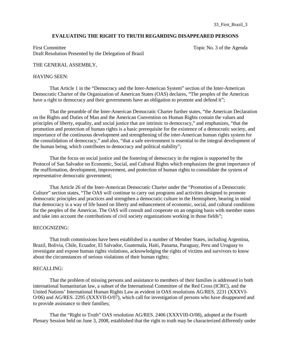#### **EVALUATING THE RIGHT TO TRUTH REGARDING DISAPPEARED PERSONS**

First Committee Topic No. 3 of the Agenda Topic No. 3 of the Agenda Draft Resolution Presented by the Delegation of Brazil

#### THE GENERAL ASSEMBLY,

#### HAVING SEEN:

That Article 1 in the "Democracy and the Inter-American System" section of the Inter-American Democratic Charter of the Organization of American States (OAS) declares, "The peoples of the Americas have a right to democracy and their governments have an obligation to promote and defend it";

That the preamble of the Inter-American Democratic Charter further states, "the American Declaration on the Rights and Duties of Man and the American Convention on Human Rights contain the values and principles of liberty, equality, and social justice that are intrinsic to democracy," and emphasizes, "that the promotion and protection of human rights is a basic prerequisite for the existence of a democratic society, and importance of the continuous development and strengthening of the inter-American human rights system for the consolidation of democracy," and also, "that a safe environment is essential to the integral development of the human being, which contributes to democracy and political stability";

 That the focus on social justice and the fostering of democracy in the region is supported by the Protocol of San Salvador on Economic, Social, and Cultural Rights which emphasizes the great importance of the reaffirmation, development, improvement, and protection of human rights to consolidate the system of representative democratic government;

 That Article 26 of the Inter-American Democratic Charter under the "Promotion of a Democratic Culture" section states, "The OAS will continue to carry out programs and activities designed to promote democratic principles and practices and strengthen a democratic culture in the Hemisphere, bearing in mind that democracy is a way of life based on liberty and enhancement of economic, social, and cultural conditions for the peoples of the Americas. The OAS will consult and cooperate on an ongoing basis with member states and take into account the contributions of civil society organizations working in those fields";

## RECOGNIZING:

That truth commissions have been established in a number of Member States, including Argentina, Brazil, Bolivia, Chile, Ecuador, El Salvador, Guatemala, Haiti, Panama, Paraguay, Peru and Uruguay to investigate and expose human rights violations, acknowledging the rights of victims and survivors to know about the circumstances of serious violations of their human rights;

# RECALLING:

That the problem of missing persons and assistance to members of their families is addressed in both international humanitarian law, a subset of the International Committee of the Red Cross (ICRC), and the United Nations' International Human Rights Law as evident in OAS resolutions AG/RES. 2231 (XXXVI-O/06) and AG/RES. 2295 (XXXVII-O/07), which call for investigation of persons who have disappeared and to provide assistance to their families;

 That the "Right to Truth" OAS resolution AG/RES. 2406 (XXXVIII-O/08), adopted at the Fourth Plenary Session held on June 3, 2008, established that the right to truth may be characterized differently under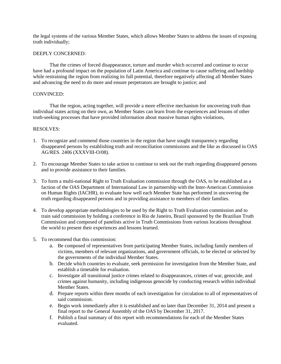the legal systems of the various Member States, which allows Member States to address the issues of exposing truth individually;

## DEEPLY CONCERNED:

 That the crimes of forced disappearance, torture and murder which occurred and continue to occur have had a profound impact on the population of Latin America and continue to cause suffering and hardship while restraining the region from realizing its full potential, therefore negatively affecting all Member States and advancing the need to do more and ensure perpetrators are brought to justice; and

## CONVINCED:

That the region, acting together, will provide a more effective mechanism for uncovering truth than individual states acting on their own, as Member States can learn from the experiences and lessons of other truth-seeking processes that have provided information about massive human rights violations,

- 1. To recognize and commend those countries in the region that have sought transparency regarding disappeared persons by establishing truth and reconciliation commissions and the like as discussed in OAS AG/RES. 2406 (XXXVIII-O/08).
- 2. To encourage Member States to take action to continue to seek out the truth regarding disappeared persons and to provide assistance to their families.
- 3. To form a multi-national Right to Truth Evaluation commission through the OAS, to be established as a faction of the OAS Department of International Law in partnership with the Inter-American Commission on Human Rights (IACHR), to evaluate how well each Member State has performed in uncovering the truth regarding disappeared persons and in providing assistance to members of their families.
- 4. To develop appropriate methodologies to be used by the Right to Truth Evaluation commission and to train said commission by holding a conference in Rio de Janeiro, Brazil sponsored by the Brazilian Truth Commission and composed of panelists active in Truth Commissions from various locations throughout the world to present their experiences and lessons learned.
- 5. To recommend that this commission:
	- a. Be composed of representatives from participating Member States, including family members of victims, members of relevant organizations, and government officials, to be elected or selected by the governments of the individual Member States.
	- b. Decide which countries to evaluate, seek permission for investigation from the Member State, and establish a timetable for evaluation.
	- c. Investigate all transitional justice crimes related to disappearances, crimes of war, genocide, and crimes against humanity, including indigenous genocide by conducting research within individual Member States.
	- d. Prepare reports within three months of each investigation for circulation to all of representatives of said commission.
	- e. Begin work immediately after it is established and no later than December 31, 2014 and present a final report to the General Assembly of the OAS by December 31, 2017.
	- f. Publish a final summary of this report with recommendations for each of the Member States evaluated.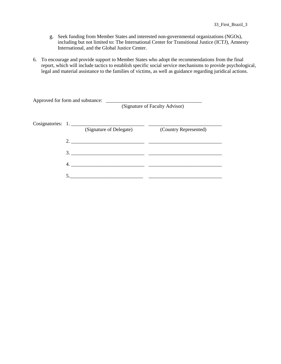- g. Seek funding from Member States and interested non-governmental organizations (NGOs), including but not limited to: The International Center for Transitional Justice (ICTJ), Amnesty International, and the Global Justice Center.
- 6. To encourage and provide support to Member States who adopt the recommendations from the final report, which will include tactics to establish specific social service mechanisms to provide psychological, legal and material assistance to the families of victims, as well as guidance regarding juridical actions.

|                   | (Signature of Faculty Advisor) |                       |
|-------------------|--------------------------------|-----------------------|
| Cosignatories: 1. | (Signature of Delegate)        | (Country Represented) |
| 2.                |                                |                       |
| 3.                |                                |                       |
|                   |                                |                       |
|                   |                                |                       |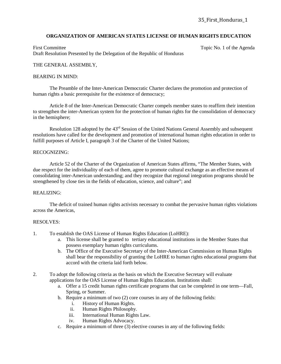# **ORGANIZATION OF AMERICAN STATES LICENSE OF HUMAN RIGHTS EDUCATION**

First Committee Topic No. 1 of the Agenda Draft Resolution Presented by the Delegation of the Republic of Honduras

# THE GENERAL ASSEMBLY,

## BEARING IN MIND:

The Preamble of the Inter-American Democratic Charter declares the promotion and protection of human rights a basic prerequisite for the existence of democracy;

Article 8 of the Inter-American Democratic Charter compels member states to reaffirm their intention to strengthen the inter-American system for the protection of human rights for the consolidation of democracy in the hemisphere;

Resolution 128 adopted by the 43<sup>rd</sup> Session of the United Nations General Assembly and subsequent resolutions have called for the development and promotion of international human rights education in order to fulfill purposes of Article I, paragraph 3 of the Charter of the United Nations;

## RECOGNIZING:

Article 52 of the Charter of the Organization of American States affirms, "The Member States, with due respect for the individuality of each of them, agree to promote cultural exchange as an effective means of consolidating inter-American understanding; and they recognize that regional integration programs should be strengthened by close ties in the fields of education, science, and culture"; and

# REALIZING:

The deficit of trained human rights activists necessary to combat the pervasive human rights violations across the Americas,

- 1. To establish the OAS License of Human Rights Education (LoHRE):
	- a. This license shall be granted to tertiary educational institutions in the Member States that possess exemplary human rights curriculums.
	- b. The Office of the Executive Secretary of the Inter-American Commission on Human Rights shall bear the responsibility of granting the LoHRE to human rights educational programs that accord with the criteria laid forth below.
- 2. To adopt the following criteria as the basis on which the Executive Secretary will evaluate applications for the OAS License of Human Rights Education. Institutions shall:
	- a. Offer a 15 credit human rights certificate programs that can be completed in one term—Fall, Spring, or Summer.
	- b. Require a minimum of two (2) core courses in any of the following fields:
		- i. History of Human Rights.
		- ii. Human Rights Philosophy.
		- iii. International Human Rights Law.
		- iv. Human Rights Advocacy.
	- c. Require a minimum of three (3) elective courses in any of the following fields: